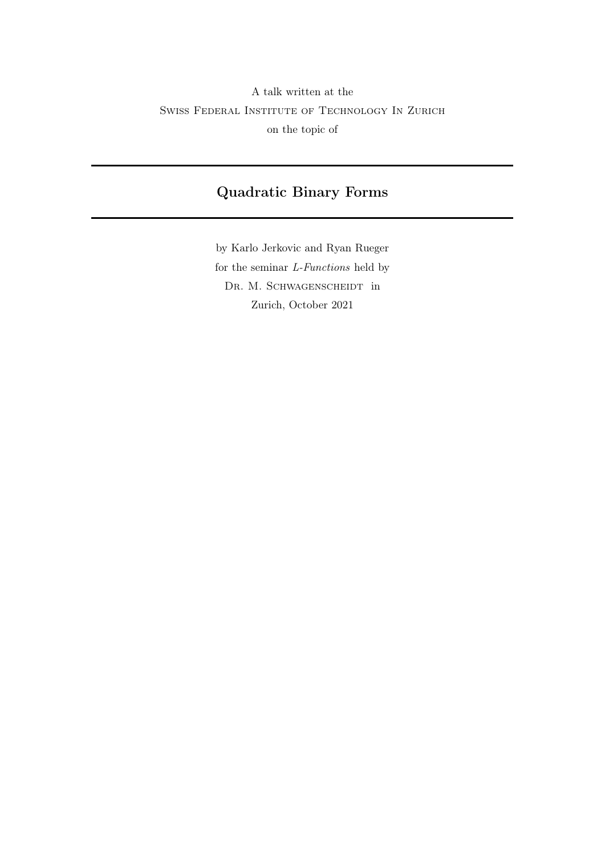# <span id="page-0-0"></span>A talk written at the Swiss Federal Institute of Technology In Zurich on the topic of

## Quadratic Binary Forms

by Karlo Jerkovic and Ryan Rueger for the seminar  $\emph{L-Functions}$  held by DR. M. SCHWAGENSCHEIDT in Zurich, October 2021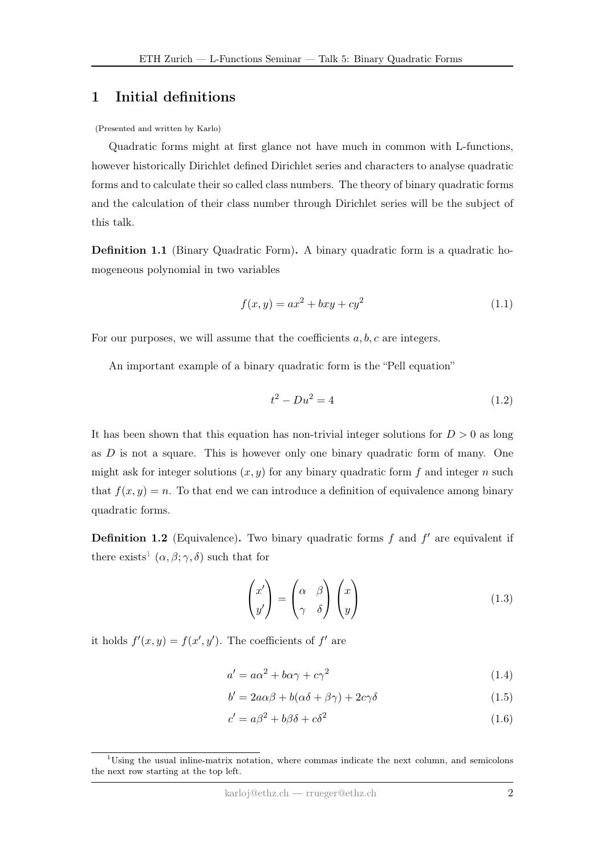### 1 Initial definitions

#### (Presented and written by Karlo)

Quadratic forms might at first glance not have much in common with L-functions, however historically Dirichlet defined Dirichlet series and characters to analyse quadratic forms and to calculate their so called class numbers. The theory of binary quadratic forms and the calculation of their class number through Dirichlet series will be the subject of this talk.

Definition 1.1 (Binary Quadratic Form). A binary quadratic form is a quadratic homogeneous polynomial in two variables

$$
f(x, y) = ax^2 + bxy + cy^2
$$
 (1.1)

For our purposes, we will assume that the coefficients  $a, b, c$  are integers.

An important example of a binary quadratic form is the "Pell equation"

<span id="page-1-0"></span>
$$
t^2 - Du^2 = 4 \tag{1.2}
$$

It has been shown that this equation has non-trivial integer solutions for  $D > 0$  as long as  $D$  is not a square. This is however only one binary quadratic form of many. One might ask for integer solutions  $(x, y)$  for any binary quadratic form f and integer n such that  $f(x, y) = n$ . To that end we can introduce a definition of equivalence among binary quadratic forms.

**Definition 1.2** (Equivalence). Two binary quadratic forms  $f$  and  $f'$  are equivalent if there exists<sup>[1](#page-0-0)</sup>  $(\alpha, \beta; \gamma, \delta)$  such that for

$$
\begin{pmatrix} x' \\ y' \end{pmatrix} = \begin{pmatrix} \alpha & \beta \\ \gamma & \delta \end{pmatrix} \begin{pmatrix} x \\ y \end{pmatrix}
$$
 (1.3)

it holds  $f'(x, y) = f(x', y')$ . The coefficients of f' are

$$
a' = a\alpha^2 + b\alpha\gamma + c\gamma^2\tag{1.4}
$$

$$
b' = 2a\alpha\beta + b(\alpha\delta + \beta\gamma) + 2c\gamma\delta
$$
\n(1.5)

$$
c' = a\beta^2 + b\beta\delta + c\delta^2\tag{1.6}
$$

<sup>&</sup>lt;sup>1</sup>Using the usual inline-matrix notation, where commas indicate the next column, and semicolons the next row starting at the top left.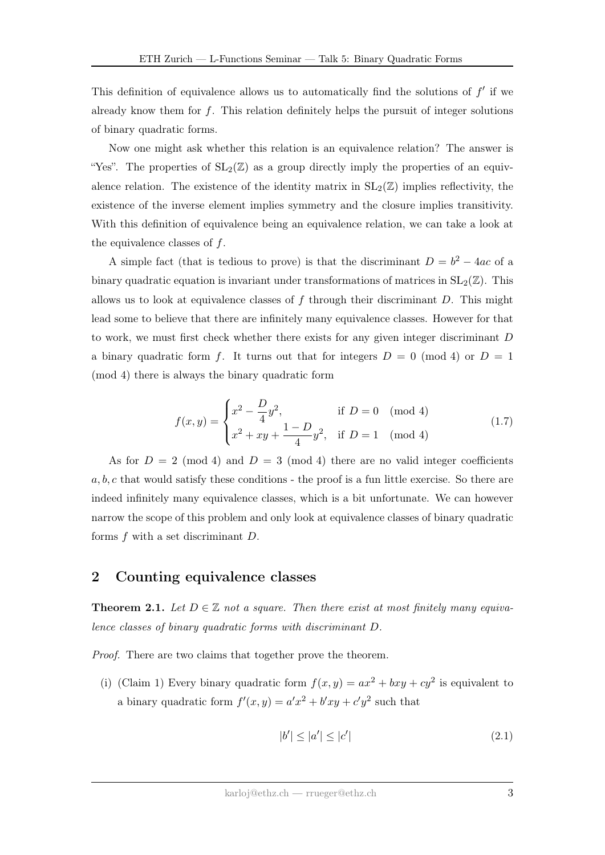This definition of equivalence allows us to automatically find the solutions of  $f'$  if we already know them for  $f$ . This relation definitely helps the pursuit of integer solutions of binary quadratic forms.

Now one might ask whether this relation is an equivalence relation? The answer is "Yes". The properties of  $SL_2(\mathbb{Z})$  as a group directly imply the properties of an equivalence relation. The existence of the identity matrix in  $SL_2(\mathbb{Z})$  implies reflectivity, the existence of the inverse element implies symmetry and the closure implies transitivity. With this definition of equivalence being an equivalence relation, we can take a look at the equivalence classes of  $f$ .

A simple fact (that is tedious to prove) is that the discriminant  $D = b^2 - 4ac$  of a binary quadratic equation is invariant under transformations of matrices in  $SL_2(\mathbb{Z})$ . This allows us to look at equivalence classes of  $f$  through their discriminant  $D$ . This might lead some to believe that there are infinitely many equivalence classes. However for that to work, we must first check whether there exists for any given integer discriminant D a binary quadratic form f. It turns out that for integers  $D = 0 \pmod{4}$  or  $D = 1$ (mod 4) there is always the binary quadratic form

$$
f(x,y) = \begin{cases} x^2 - \frac{D}{4}y^2, & \text{if } D = 0 \pmod{4} \\ x^2 + xy + \frac{1 - D}{4}y^2, & \text{if } D = 1 \pmod{4} \end{cases}
$$
 (1.7)

As for  $D = 2 \pmod{4}$  and  $D = 3 \pmod{4}$  there are no valid integer coefficients  $a, b, c$  that would satisfy these conditions - the proof is a fun little exercise. So there are indeed infinitely many equivalence classes, which is a bit unfortunate. We can however narrow the scope of this problem and only look at equivalence classes of binary quadratic forms f with a set discriminant D.

#### 2 Counting equivalence classes

<span id="page-2-1"></span>**Theorem 2.1.** Let  $D \in \mathbb{Z}$  not a square. Then there exist at most finitely many equivalence classes of binary quadratic forms with discriminant D.

Proof. There are two claims that together prove the theorem.

(i) (Claim 1) Every binary quadratic form  $f(x,y) = ax^2 + bxy + cy^2$  is equivalent to a binary quadratic form  $f'(x, y) = a'x^2 + b'xy + c'y^2$  such that

<span id="page-2-0"></span>
$$
|b'| \le |a'| \le |c'| \tag{2.1}
$$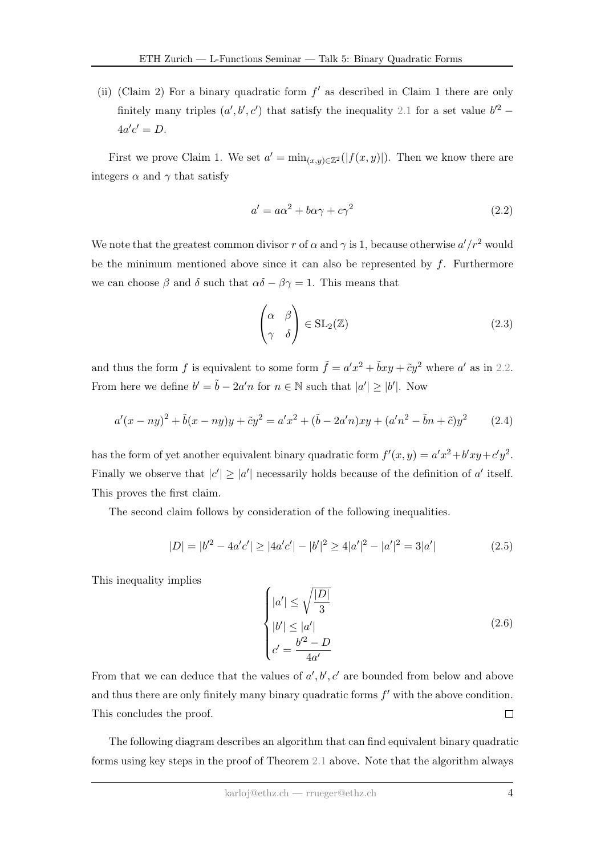(ii) (Claim 2) For a binary quadratic form  $f'$  as described in Claim 1 there are only finitely many triples  $(a', b', c')$  that satisfy the inequality [2.1](#page-2-0) for a set value  $b'^2$  –  $4a'c' = D.$ 

First we prove Claim 1. We set  $a' = \min_{(x,y)\in \mathbb{Z}^2}(|f(x,y)|)$ . Then we know there are integers  $\alpha$  and  $\gamma$  that satisfy

<span id="page-3-0"></span>
$$
a' = a\alpha^2 + b\alpha\gamma + c\gamma^2\tag{2.2}
$$

We note that the greatest common divisor r of  $\alpha$  and  $\gamma$  is 1, because otherwise  $a'/r^2$  would be the minimum mentioned above since it can also be represented by  $f$ . Furthermore we can choose  $\beta$  and  $\delta$  such that  $\alpha\delta - \beta\gamma = 1$ . This means that

$$
\begin{pmatrix} \alpha & \beta \\ \gamma & \delta \end{pmatrix} \in SL_2(\mathbb{Z})
$$
\n(2.3)

and thus the form f is equivalent to some form  $\tilde{f} = a'x^2 + \tilde{b}xy + \tilde{c}y^2$  where a' as in [2.2.](#page-3-0) From here we define  $b' = \tilde{b} - 2a'n$  for  $n \in \mathbb{N}$  such that  $|a'| \ge |b'|$ . Now

$$
a'(x - ny)^2 + \tilde{b}(x - ny)y + \tilde{c}y^2 = a'x^2 + (\tilde{b} - 2a'n)xy + (a'n^2 - \tilde{b}n + \tilde{c})y^2
$$
 (2.4)

has the form of yet another equivalent binary quadratic form  $f'(x, y) = a'x^2 + b'xy + c'y^2$ . Finally we observe that  $|c'| \ge |a'|$  necessarily holds because of the definition of a' itself. This proves the first claim.

The second claim follows by consideration of the following inequalities.

$$
|D| = |b'^2 - 4a'c'| \ge |4a'c'| - |b'|^2 \ge 4|a'|^2 - |a'|^2 = 3|a'| \tag{2.5}
$$

This inequality implies

<span id="page-3-1"></span>
$$
\begin{cases}\n|a'| \le \sqrt{\frac{|D|}{3}} \\
|b'| \le |a'| \\
c' = \frac{b'^2 - D}{4a'}\n\end{cases}
$$
\n(2.6)

From that we can deduce that the values of  $a', b', c'$  are bounded from below and above and thus there are only finitely many binary quadratic forms  $f'$  with the above condition. This concludes the proof.  $\Box$ 

The following diagram describes an algorithm that can find equivalent binary quadratic forms using key steps in the proof of Theorem [2.1](#page-2-1) above. Note that the algorithm always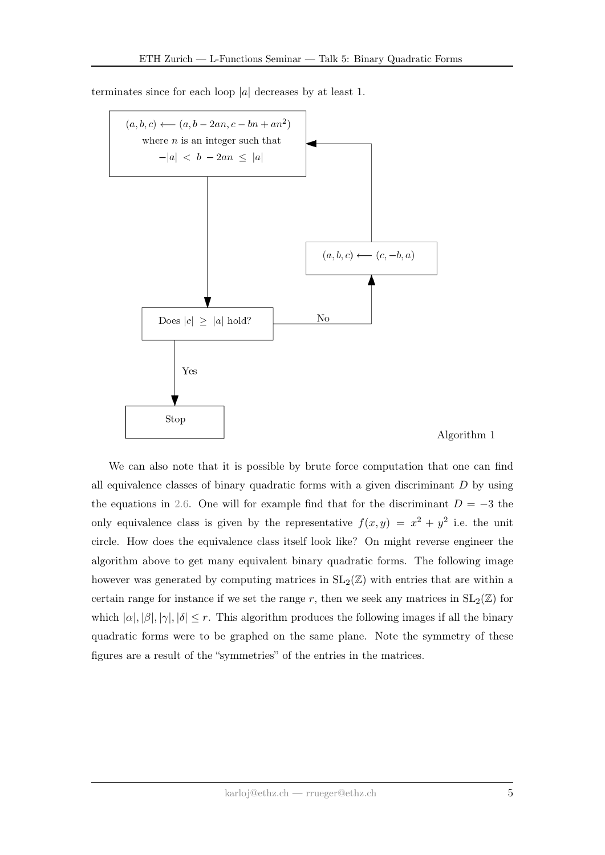

terminates since for each loop  $|a|$  decreases by at least 1.

We can also note that it is possible by brute force computation that one can find all equivalence classes of binary quadratic forms with a given discriminant  $D$  by using the equations in [2.6.](#page-3-1) One will for example find that for the discriminant  $D = -3$  the only equivalence class is given by the representative  $f(x,y) = x^2 + y^2$  i.e. the unit circle. How does the equivalence class itself look like? On might reverse engineer the algorithm above to get many equivalent binary quadratic forms. The following image however was generated by computing matrices in  $SL_2(\mathbb{Z})$  with entries that are within a certain range for instance if we set the range r, then we seek any matrices in  $SL_2(\mathbb{Z})$  for which  $|\alpha|, |\beta|, |\gamma|, |\delta| \leq r$ . This algorithm produces the following images if all the binary quadratic forms were to be graphed on the same plane. Note the symmetry of these figures are a result of the "symmetries" of the entries in the matrices.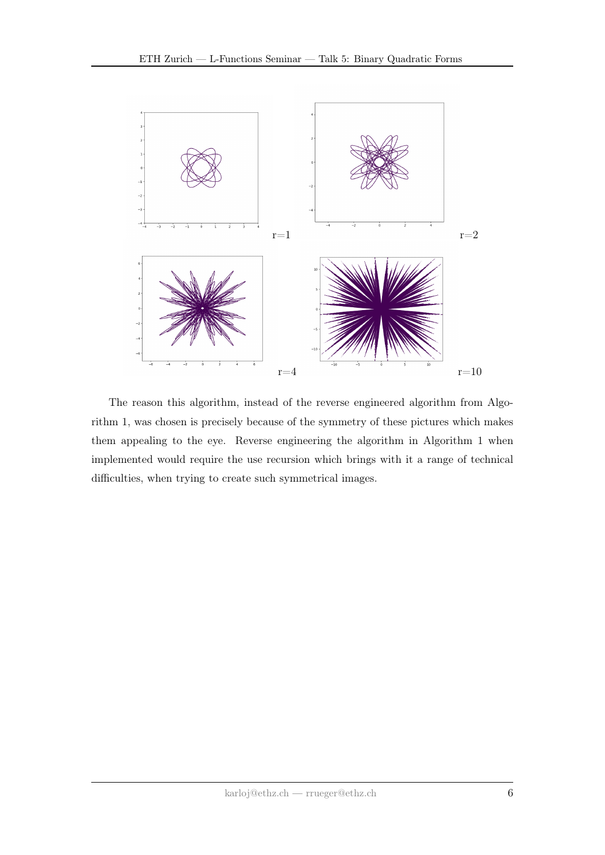

The reason this algorithm, instead of the reverse engineered algorithm from Algorithm 1, was chosen is precisely because of the symmetry of these pictures which makes them appealing to the eye. Reverse engineering the algorithm in Algorithm 1 when implemented would require the use recursion which brings with it a range of technical difficulties, when trying to create such symmetrical images.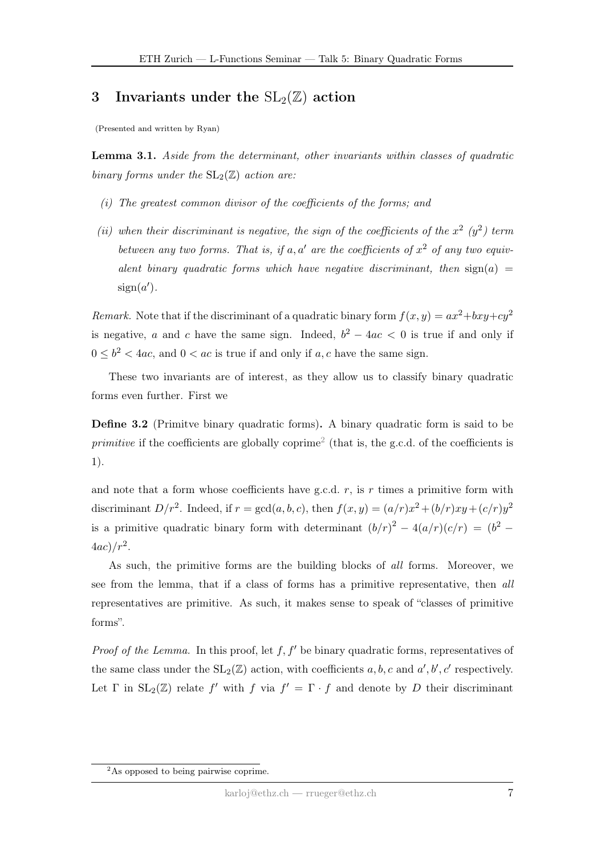### 3 Invariants under the  $SL_2(\mathbb{Z})$  action

(Presented and written by Ryan)

Lemma 3.1. Aside from the determinant, other invariants within classes of quadratic binary forms under the  $SL_2(\mathbb{Z})$  action are:

- (i) The greatest common divisor of the coefficients of the forms; and
- (ii) when their discriminant is negative, the sign of the coefficients of the  $x^2$  ( $y^2$ ) term between any two forms. That is, if a, a' are the coefficients of  $x^2$  of any two equivalent binary quadratic forms which have negative discriminant, then  $sign(a)$  $sign(a')$ .

Remark. Note that if the discriminant of a quadratic binary form  $f(x, y) = ax^2 + bxy + cy^2$ is negative, a and c have the same sign. Indeed,  $b^2 - 4ac < 0$  is true if and only if  $0 \leq b^2 < 4ac$ , and  $0 < ac$  is true if and only if a, c have the same sign.

These two invariants are of interest, as they allow us to classify binary quadratic forms even further. First we

Define 3.2 (Primitve binary quadratic forms). A binary quadratic form is said to be *primitive* if the coefficients are globally coprime<sup>[2](#page-0-0)</sup> (that is, the g.c.d. of the coefficients is 1).

and note that a form whose coefficients have g.c.d.  $r$ , is r times a primitive form with discriminant  $D/r^2$ . Indeed, if  $r = \gcd(a, b, c)$ , then  $f(x, y) = (a/r)x^2 + (b/r)xy + (c/r)y^2$ is a primitive quadratic binary form with determinant  $(b/r)^2 - 4(a/r)(c/r) = (b^2 4ac)/r^2$ .

As such, the primitive forms are the building blocks of all forms. Moreover, we see from the lemma, that if a class of forms has a primitive representative, then all representatives are primitive. As such, it makes sense to speak of "classes of primitive forms".

*Proof of the Lemma.* In this proof, let  $f, f'$  be binary quadratic forms, representatives of the same class under the  $SL_2(\mathbb{Z})$  action, with coefficients  $a, b, c$  and  $a', b', c'$  respectively. Let  $\Gamma$  in  $SL_2(\mathbb{Z})$  relate  $f'$  with  $f$  via  $f' = \Gamma \cdot f$  and denote by D their discriminant

<sup>2</sup>As opposed to being pairwise coprime.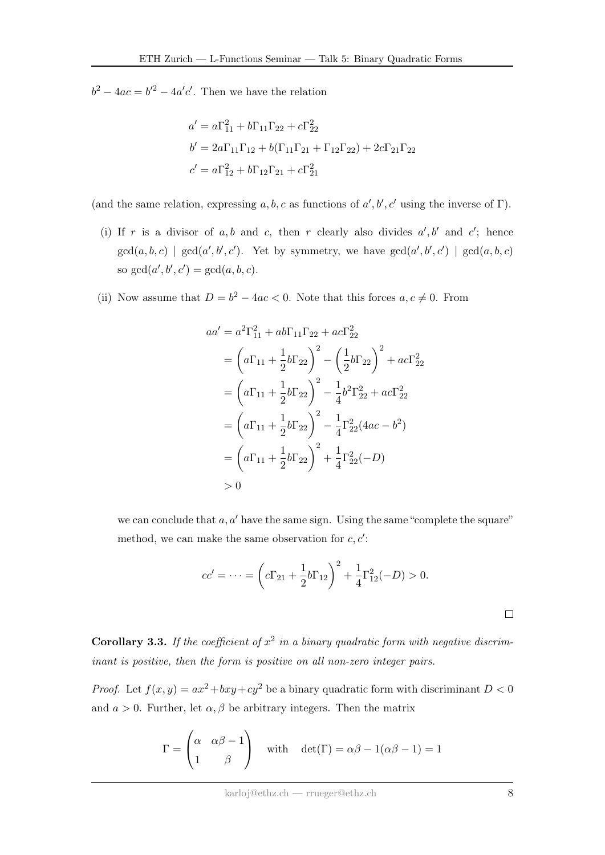$b^2 - 4ac = b'^2 - 4a'c'$ . Then we have the relation

$$
a' = a\Gamma_{11}^2 + b\Gamma_{11}\Gamma_{22} + c\Gamma_{22}^2
$$
  
\n
$$
b' = 2a\Gamma_{11}\Gamma_{12} + b(\Gamma_{11}\Gamma_{21} + \Gamma_{12}\Gamma_{22}) + 2c\Gamma_{21}\Gamma_{22}
$$
  
\n
$$
c' = a\Gamma_{12}^2 + b\Gamma_{12}\Gamma_{21} + c\Gamma_{21}^2
$$

(and the same relation, expressing a, b, c as functions of  $a', b', c'$  using the inverse of  $\Gamma$ ).

- (i) If r is a divisor of a, b and c, then r clearly also divides  $a', b'$  and c'; hence  $gcd(a, b, c)$  |  $gcd(a', b', c')$ . Yet by symmetry, we have  $gcd(a', b', c')$  |  $gcd(a, b, c)$ so  $gcd(a', b', c') = gcd(a, b, c)$ .
- (ii) Now assume that  $D = b^2 4ac < 0$ . Note that this forces  $a, c \neq 0$ . From

$$
aa' = a^2 \Gamma_{11}^2 + ab \Gamma_{11} \Gamma_{22} + ac \Gamma_{22}^2
$$
  
=  $\left(a \Gamma_{11} + \frac{1}{2} b \Gamma_{22}\right)^2 - \left(\frac{1}{2} b \Gamma_{22}\right)^2 + ac \Gamma_{22}^2$   
=  $\left(a \Gamma_{11} + \frac{1}{2} b \Gamma_{22}\right)^2 - \frac{1}{4} b^2 \Gamma_{22}^2 + ac \Gamma_{22}^2$   
=  $\left(a \Gamma_{11} + \frac{1}{2} b \Gamma_{22}\right)^2 - \frac{1}{4} \Gamma_{22}^2 (4ac - b^2)$   
=  $\left(a \Gamma_{11} + \frac{1}{2} b \Gamma_{22}\right)^2 + \frac{1}{4} \Gamma_{22}^2 (-D)$   
> 0

we can conclude that  $a, a'$  have the same sign. Using the same "complete the square" method, we can make the same observation for  $c, c'$ :

$$
cc' = \dots = \left( c\Gamma_{21} + \frac{1}{2}b\Gamma_{12} \right)^2 + \frac{1}{4}\Gamma_{12}^2(-D) > 0.
$$

**Corollary 3.3.** If the coefficient of  $x^2$  in a binary quadratic form with negative discriminant is positive, then the form is positive on all non-zero integer pairs.

*Proof.* Let  $f(x, y) = ax^2 + bxy + cy^2$  be a binary quadratic form with discriminant  $D < 0$ and  $a > 0$ . Further, let  $\alpha, \beta$  be arbitrary integers. Then the matrix

$$
\Gamma = \begin{pmatrix} \alpha & \alpha \beta - 1 \\ 1 & \beta \end{pmatrix} \quad \text{with} \quad \det(\Gamma) = \alpha \beta - 1(\alpha \beta - 1) = 1
$$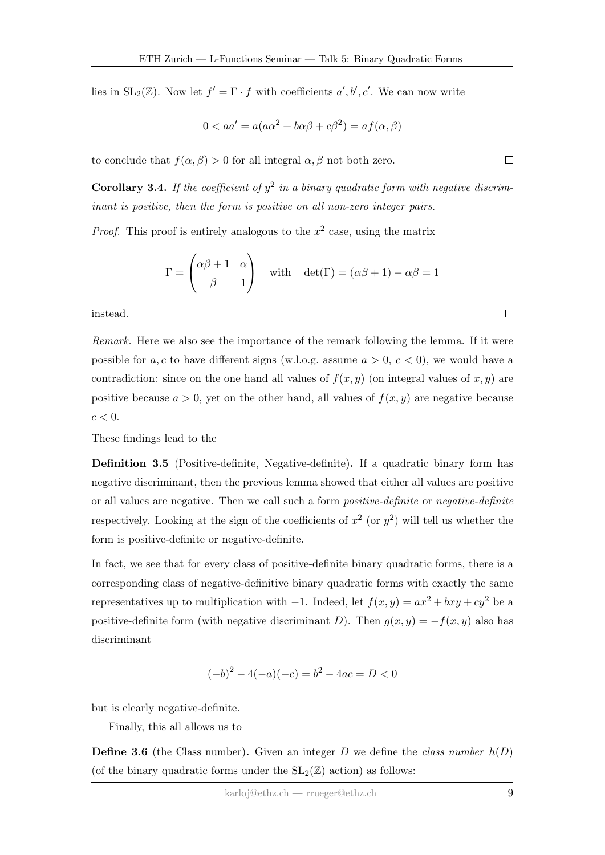lies in  $SL_2(\mathbb{Z})$ . Now let  $f' = \Gamma \cdot f$  with coefficients  $a', b', c'$ . We can now write

$$
0 < aa' = a(a\alpha^2 + b\alpha\beta + c\beta^2) = af(\alpha, \beta)
$$

to conclude that  $f(\alpha, \beta) > 0$  for all integral  $\alpha, \beta$  not both zero.

**Corollary 3.4.** If the coefficient of  $y^2$  in a binary quadratic form with negative discriminant is positive, then the form is positive on all non-zero integer pairs.

*Proof.* This proof is entirely analogous to the  $x^2$  case, using the matrix

$$
\Gamma = \begin{pmatrix} \alpha \beta + 1 & \alpha \\ \beta & 1 \end{pmatrix} \quad \text{with} \quad \det(\Gamma) = (\alpha \beta + 1) - \alpha \beta = 1
$$

instead.

Remark. Here we also see the importance of the remark following the lemma. If it were possible for a, c to have different signs (w.l.o.g. assume  $a > 0$ ,  $c < 0$ ), we would have a contradiction: since on the one hand all values of  $f(x, y)$  (on integral values of x, y) are positive because  $a > 0$ , yet on the other hand, all values of  $f(x, y)$  are negative because  $c < 0$ .

These findings lead to the

Definition 3.5 (Positive-definite, Negative-definite). If a quadratic binary form has negative discriminant, then the previous lemma showed that either all values are positive or all values are negative. Then we call such a form positive-definite or negative-definite respectively. Looking at the sign of the coefficients of  $x^2$  (or  $y^2$ ) will tell us whether the form is positive-definite or negative-definite.

In fact, we see that for every class of positive-definite binary quadratic forms, there is a corresponding class of negative-definitive binary quadratic forms with exactly the same representatives up to multiplication with  $-1$ . Indeed, let  $f(x, y) = ax^2 + bxy + cy^2$  be a positive-definite form (with negative discriminant D). Then  $g(x, y) = -f(x, y)$  also has discriminant

$$
(-b)^2 - 4(-a)(-c) = b^2 - 4ac = D < 0
$$

but is clearly negative-definite.

Finally, this all allows us to

**Define 3.6** (the Class number). Given an integer D we define the class number  $h(D)$ (of the binary quadratic forms under the  $SL_2(\mathbb{Z})$  action) as follows:

 $\Box$ 

 $\Box$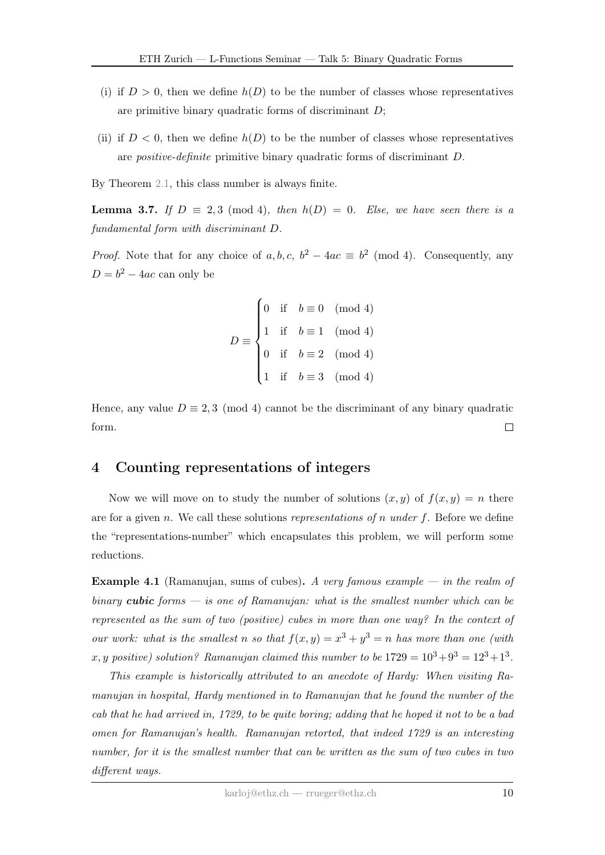- (i) if  $D > 0$ , then we define  $h(D)$  to be the number of classes whose representatives are primitive binary quadratic forms of discriminant  $D$ ;
- (ii) if  $D < 0$ , then we define  $h(D)$  to be the number of classes whose representatives are positive-definite primitive binary quadratic forms of discriminant D.
- By Theorem [2.1,](#page-2-1) this class number is always finite.

**Lemma 3.7.** If  $D \equiv 2,3 \pmod{4}$ , then  $h(D) = 0$ . Else, we have seen there is a fundamental form with discriminant D.

*Proof.* Note that for any choice of  $a, b, c, b^2 - 4ac \equiv b^2 \pmod{4}$ . Consequently, any  $D = b^2 - 4ac$  can only be

$$
D \equiv \begin{cases} 0 & \text{if} \quad b \equiv 0 \pmod{4} \\ 1 & \text{if} \quad b \equiv 1 \pmod{4} \\ 0 & \text{if} \quad b \equiv 2 \pmod{4} \\ 1 & \text{if} \quad b \equiv 3 \pmod{4} \end{cases}
$$

Hence, any value  $D \equiv 2, 3 \pmod{4}$  cannot be the discriminant of any binary quadratic form.  $\Box$ 

#### 4 Counting representations of integers

Now we will move on to study the number of solutions  $(x, y)$  of  $f(x, y) = n$  there are for a given n. We call these solutions representations of n under f. Before we define the "representations-number" which encapsulates this problem, we will perform some reductions.

**Example 4.1** (Ramanujan, sums of cubes). A very famous example — in the realm of binary cubic forms  $-$  is one of Ramanujan: what is the smallest number which can be represented as the sum of two (positive) cubes in more than one way? In the context of our work: what is the smallest n so that  $f(x,y) = x^3 + y^3 = n$  has more than one (with x, y positive) solution? Ramanujan claimed this number to be  $1729 = 10^3 + 9^3 = 12^3 + 1^3$ .

This example is historically attributed to an anecdote of Hardy: When visiting Ramanujan in hospital, Hardy mentioned in to Ramanujan that he found the number of the cab that he had arrived in, 1729, to be quite boring; adding that he hoped it not to be a bad omen for Ramanujan's health. Ramanujan retorted, that indeed 1729 is an interesting number, for it is the smallest number that can be written as the sum of two cubes in two different ways.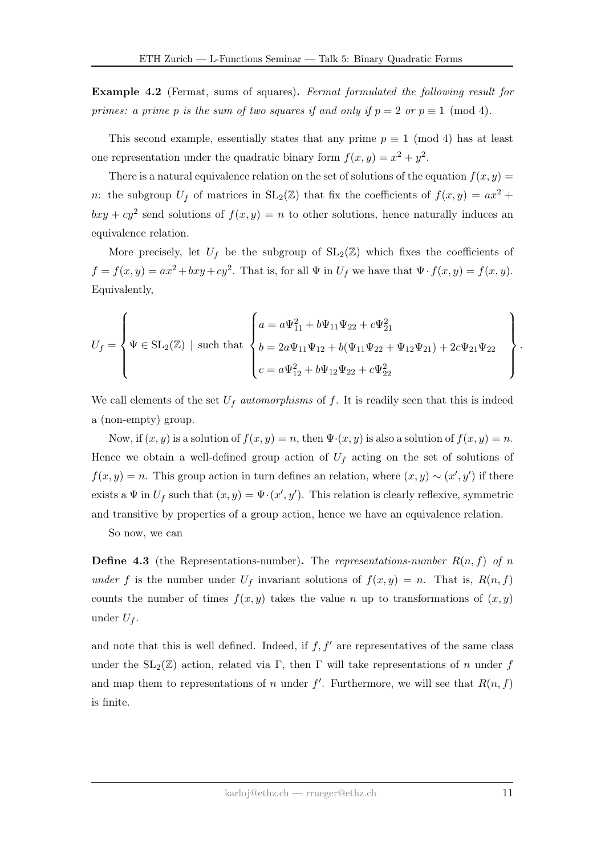Example 4.2 (Fermat, sums of squares). Fermat formulated the following result for primes: a prime p is the sum of two squares if and only if  $p = 2$  or  $p \equiv 1 \pmod{4}$ .

This second example, essentially states that any prime  $p \equiv 1 \pmod{4}$  has at least one representation under the quadratic binary form  $f(x, y) = x^2 + y^2$ .

There is a natural equivalence relation on the set of solutions of the equation  $f(x, y) =$ n: the subgroup  $U_f$  of matrices in  $SL_2(\mathbb{Z})$  that fix the coefficients of  $f(x, y) = ax^2 + b$  $bxy + cy^2$  send solutions of  $f(x, y) = n$  to other solutions, hence naturally induces an equivalence relation.

More precisely, let  $U_f$  be the subgroup of  $SL_2(\mathbb{Z})$  which fixes the coefficients of  $f = f(x, y) = ax^2 + bxy + cy^2$ . That is, for all  $\Psi$  in  $U_f$  we have that  $\Psi \cdot f(x, y) = f(x, y)$ . Equivalently,

$$
U_f = \left\{ \Psi \in SL_2(\mathbb{Z}) \mid \text{such that } \begin{cases} a = a\Psi_{11}^2 + b\Psi_{11}\Psi_{22} + c\Psi_{21}^2 \\ b = 2a\Psi_{11}\Psi_{12} + b(\Psi_{11}\Psi_{22} + \Psi_{12}\Psi_{21}) + 2c\Psi_{21}\Psi_{22} \\ c = a\Psi_{12}^2 + b\Psi_{12}\Psi_{22} + c\Psi_{22}^2 \end{cases} \right\}
$$

We call elements of the set  $U_f$  automorphisms of f. It is readily seen that this is indeed a (non-empty) group.

Now, if  $(x, y)$  is a solution of  $f(x, y) = n$ , then  $\Psi(x, y)$  is also a solution of  $f(x, y) = n$ . Hence we obtain a well-defined group action of  $U_f$  acting on the set of solutions of  $f(x, y) = n$ . This group action in turn defines an relation, where  $(x, y) \sim (x', y')$  if there exists a  $\Psi$  in  $U_f$  such that  $(x, y) = \Psi \cdot (x', y')$ . This relation is clearly reflexive, symmetric and transitive by properties of a group action, hence we have an equivalence relation.

So now, we can

**Define 4.3** (the Representations-number). The representations-number  $R(n, f)$  of n under f is the number under  $U_f$  invariant solutions of  $f(x, y) = n$ . That is,  $R(n, f)$ counts the number of times  $f(x, y)$  takes the value n up to transformations of  $(x, y)$ under  $U_f$ .

and note that this is well defined. Indeed, if  $f, f'$  are representatives of the same class under the  $SL_2(\mathbb{Z})$  action, related via Γ, then Γ will take representations of n under f and map them to representations of n under  $f'$ . Furthermore, we will see that  $R(n, f)$ is finite.

.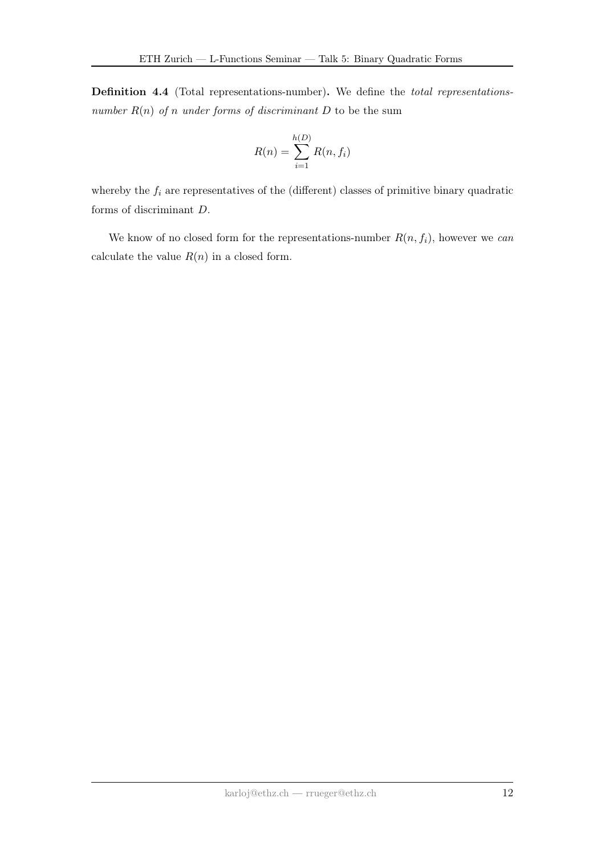Definition 4.4 (Total representations-number). We define the total representationsnumber  $R(n)$  of n under forms of discriminant D to be the sum

$$
R(n) = \sum_{i=1}^{h(D)} R(n, f_i)
$$

whereby the  $f_i$  are representatives of the (different) classes of primitive binary quadratic forms of discriminant D.

We know of no closed form for the representations-number  $R(n, f_i)$ , however we can calculate the value  $R(n)$  in a closed form.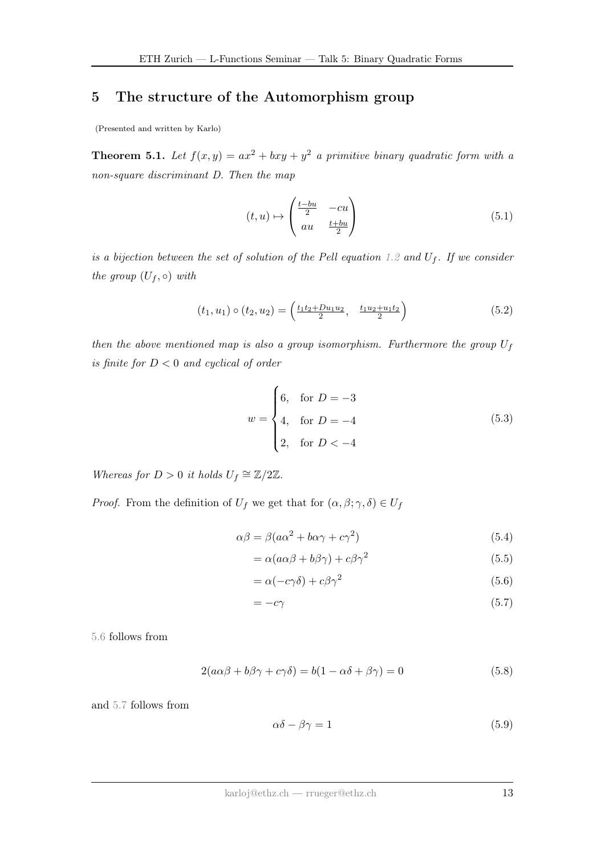#### 5 The structure of the Automorphism group

(Presented and written by Karlo)

<span id="page-12-4"></span>**Theorem 5.1.** Let  $f(x, y) = ax^2 + bxy + y^2$  a primitive binary quadratic form with a non-square discriminant D. Then the map

<span id="page-12-2"></span>
$$
(t, u) \mapsto \begin{pmatrix} \frac{t - bu}{2} & -cu \\ au & \frac{t + bu}{2} \end{pmatrix}
$$
 (5.1)

is a bijection between the set of solution of the Pell equation [1.2](#page-1-0) and  $U_f$ . If we consider the group  $(U_f, \circ)$  with

$$
(t_1, u_1) \circ (t_2, u_2) = \left(\frac{t_1 t_2 + D u_1 u_2}{2}, \frac{t_1 u_2 + u_1 t_2}{2}\right) \tag{5.2}
$$

then the above mentioned map is also a group isomorphism. Furthermore the group  $U_f$ is finite for  $D < 0$  and cyclical of order

<span id="page-12-3"></span>
$$
w = \begin{cases} 6, & \text{for } D = -3 \\ 4, & \text{for } D = -4 \\ 2, & \text{for } D < -4 \end{cases}
$$
 (5.3)

Whereas for  $D > 0$  it holds  $U_f \cong \mathbb{Z}/2\mathbb{Z}$ .

*Proof.* From the definition of  $U_f$  we get that for  $(\alpha, \beta; \gamma, \delta) \in U_f$ 

$$
\alpha \beta = \beta (a\alpha^2 + b\alpha\gamma + c\gamma^2)
$$
\n(5.4)

$$
= \alpha (a\alpha\beta + b\beta\gamma) + c\beta\gamma^2 \tag{5.5}
$$

<span id="page-12-0"></span>
$$
= \alpha(-c\gamma\delta) + c\beta\gamma^2 \tag{5.6}
$$

<span id="page-12-1"></span>
$$
=-c\gamma\tag{5.7}
$$

[5.6](#page-12-0) follows from

$$
2(a\alpha\beta + b\beta\gamma + c\gamma\delta) = b(1 - \alpha\delta + \beta\gamma) = 0
$$
\n(5.8)

and [5.7](#page-12-1) follows from

$$
\alpha \delta - \beta \gamma = 1 \tag{5.9}
$$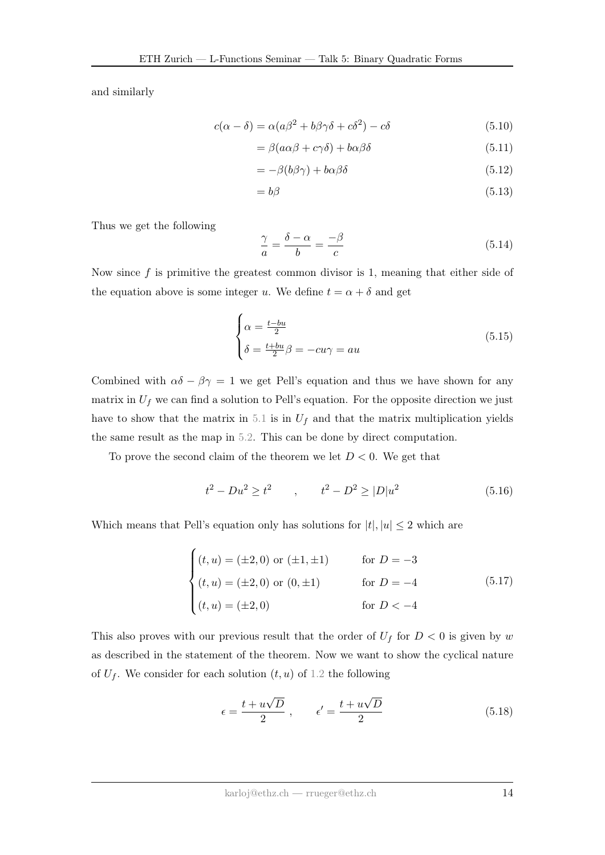and similarly

$$
c(\alpha - \delta) = \alpha(a\beta^2 + b\beta\gamma\delta + c\delta^2) - c\delta
$$
\n(5.10)

$$
= \beta(a\alpha\beta + c\gamma\delta) + b\alpha\beta\delta \tag{5.11}
$$

$$
= -\beta(b\beta\gamma) + b\alpha\beta\delta \tag{5.12}
$$

$$
=b\beta \tag{5.13}
$$

Thus we get the following

$$
\frac{\gamma}{a} = \frac{\delta - \alpha}{b} = \frac{-\beta}{c} \tag{5.14}
$$

Now since  $f$  is primitive the greatest common divisor is 1, meaning that either side of the equation above is some integer u. We define  $t = \alpha + \delta$  and get

$$
\begin{cases}\n\alpha = \frac{t - bu}{2} \\
\delta = \frac{t + bu}{2}\beta = -cu\gamma = au\n\end{cases}
$$
\n(5.15)

Combined with  $\alpha\delta - \beta\gamma = 1$  we get Pell's equation and thus we have shown for any matrix in  $U_f$  we can find a solution to Pell's equation. For the opposite direction we just have to show that the matrix in [5.1](#page-12-2) is in  $U_f$  and that the matrix multiplication yields the same result as the map in [5.2.](#page-12-3) This can be done by direct computation.

To prove the second claim of the theorem we let  $D < 0$ . We get that

$$
t^2 - Du^2 \ge t^2 \qquad , \qquad t^2 - D^2 \ge |D|u^2 \tag{5.16}
$$

Which means that Pell's equation only has solutions for  $|t|, |u| \leq 2$  which are

<span id="page-13-0"></span>
$$
\begin{cases}\n(t, u) = (\pm 2, 0) \text{ or } (\pm 1, \pm 1) & \text{for } D = -3 \\
(t, u) = (\pm 2, 0) \text{ or } (0, \pm 1) & \text{for } D = -4 \\
(t, u) = (\pm 2, 0) & \text{for } D < -4\n\end{cases}
$$
\n(5.17)

This also proves with our previous result that the order of  $U_f$  for  $D < 0$  is given by w as described in the statement of the theorem. Now we want to show the cyclical nature of  $U_f$ . We consider for each solution  $(t, u)$  of [1.2](#page-1-0) the following

$$
\epsilon = \frac{t + u\sqrt{D}}{2}, \qquad \epsilon' = \frac{t + u\sqrt{D}}{2}
$$
 (5.18)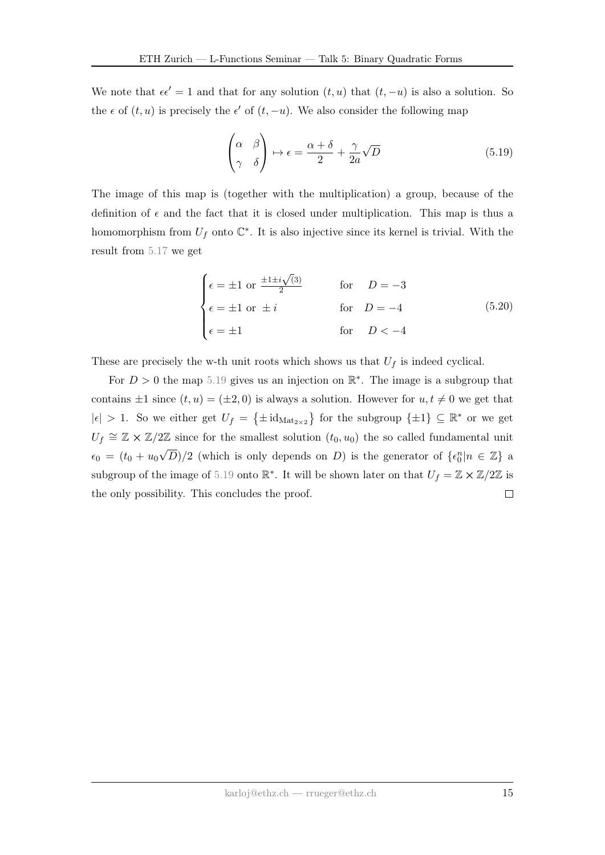We note that  $\epsilon \epsilon' = 1$  and that for any solution  $(t, u)$  that  $(t, -u)$  is also a solution. So the  $\epsilon$  of  $(t, u)$  is precisely the  $\epsilon'$  of  $(t, -u)$ . We also consider the following map

<span id="page-14-0"></span>
$$
\begin{pmatrix} \alpha & \beta \\ \gamma & \delta \end{pmatrix} \mapsto \epsilon = \frac{\alpha + \delta}{2} + \frac{\gamma}{2a} \sqrt{D} \tag{5.19}
$$

The image of this map is (together with the multiplication) a group, because of the definition of  $\epsilon$  and the fact that it is closed under multiplication. This map is thus a homomorphism from  $U_f$  onto  $\mathbb{C}^*$ . It is also injective since its kernel is trivial. With the result from [5.17](#page-13-0) we get

$$
\begin{cases}\n\epsilon = \pm 1 \text{ or } \frac{\pm 1 \pm i \sqrt{3}}{2} & \text{for } D = -3 \\
\epsilon = \pm 1 \text{ or } \pm i & \text{for } D = -4 \\
\epsilon = \pm 1 & \text{for } D < -4\n\end{cases}
$$
\n(5.20)

These are precisely the w-th unit roots which shows us that  $U_f$  is indeed cyclical.

For  $D > 0$  the map [5.19](#page-14-0) gives us an injection on  $\mathbb{R}^*$ . The image is a subgroup that contains  $\pm 1$  since  $(t, u) = (\pm 2, 0)$  is always a solution. However for  $u, t \neq 0$  we get that  $|\epsilon| > 1$ . So we either get  $U_f = {\pm id_{\text{Mat}_{2\times 2}}}$  for the subgroup  ${\pm 1} \subseteq \mathbb{R}^*$  or we get  $U_f \cong \mathbb{Z} \times \mathbb{Z}/2\mathbb{Z}$  since for the smallest solution  $(t_0, u_0)$  the so called fundamental unit √  $\overline{D}/2$  (which is only depends on D) is the generator of  $\{\epsilon_0^n | n \in \mathbb{Z}\}\$  a  $\epsilon_0 = (t_0 + u_0)$ subgroup of the image of [5.19](#page-14-0) onto  $\mathbb{R}^*$ . It will be shown later on that  $U_f = \mathbb{Z} \times \mathbb{Z}/2\mathbb{Z}$  is the only possibility. This concludes the proof.  $\Box$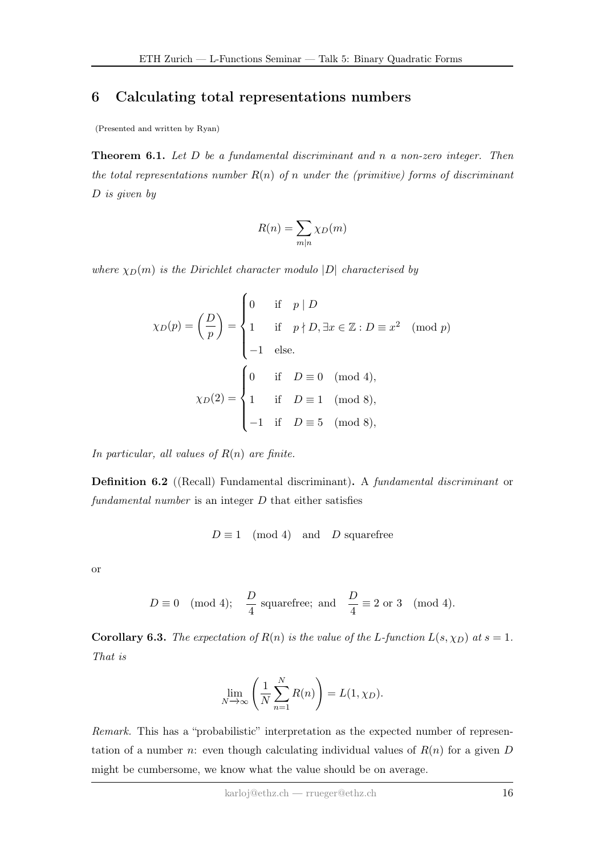#### 6 Calculating total representations numbers

(Presented and written by Ryan)

**Theorem 6.1.** Let  $D$  be a fundamental discriminant and  $n$  a non-zero integer. Then the total representations number  $R(n)$  of n under the (primitive) forms of discriminant D is given by

$$
R(n) = \sum_{m|n} \chi_D(m)
$$

where  $\chi_D(m)$  is the Dirichlet character modulo |D| characterised by

$$
\chi_D(p) = \left(\frac{D}{p}\right) = \begin{cases} 0 & \text{if } p \mid D \\ 1 & \text{if } p \nmid D, \exists x \in \mathbb{Z} : D \equiv x^2 \pmod{p} \\ -1 & \text{else.} \end{cases} \pmod{4},
$$

$$
\chi_D(2) = \begin{cases} 0 & \text{if } D \equiv 0 \pmod{4}, \\ 1 & \text{if } D \equiv 1 \pmod{8}, \\ -1 & \text{if } D \equiv 5 \pmod{8}, \end{cases}
$$

In particular, all values of  $R(n)$  are finite.

Definition 6.2 ((Recall) Fundamental discriminant). A fundamental discriminant or fundamental number is an integer  $D$  that either satisfies

$$
D \equiv 1 \pmod{4}
$$
 and  $D$  squarefree

or

$$
D \equiv 0 \pmod{4}
$$
;  $\frac{D}{4}$  squarefree; and  $\frac{D}{4} \equiv 2 \text{ or } 3 \pmod{4}$ .

**Corollary 6.3.** The expectation of  $R(n)$  is the value of the L-function  $L(s, \chi_D)$  at  $s = 1$ . That is

$$
\lim_{N \to \infty} \left( \frac{1}{N} \sum_{n=1}^{N} R(n) \right) = L(1, \chi_D).
$$

Remark. This has a "probabilistic" interpretation as the expected number of representation of a number n: even though calculating individual values of  $R(n)$  for a given D might be cumbersome, we know what the value should be on average.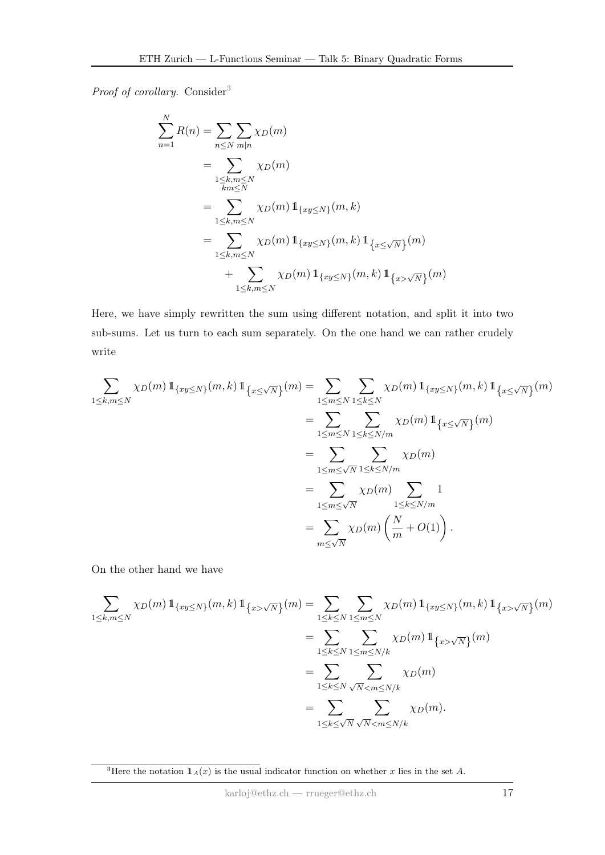Proof of corollary. Consider<sup>[3](#page-0-0)</sup>

$$
\sum_{n=1}^{N} R(n) = \sum_{n \le N} \sum_{m|n} \chi_D(m)
$$
  
= 
$$
\sum_{\substack{1 \le k,m \le N \\ km \le N}} \chi_D(m)
$$
  
= 
$$
\sum_{1 \le k,m \le N} \chi_D(m) 1_{\{xy \le N\}}(m,k)
$$
  
= 
$$
\sum_{1 \le k,m \le N} \chi_D(m) 1_{\{xy \le N\}}(m,k) 1_{\{x \le \sqrt{N}\}}(m)
$$
  
+ 
$$
\sum_{1 \le k,m \le N} \chi_D(m) 1_{\{xy \le N\}}(m,k) 1_{\{x > \sqrt{N}\}}(m)
$$

Here, we have simply rewritten the sum using different notation, and split it into two sub-sums. Let us turn to each sum separately. On the one hand we can rather crudely write

$$
\sum_{1 \leq k,m \leq N} \chi_D(m) \mathbb{1}_{\{xy \leq N\}}(m,k) \mathbb{1}_{\{x \leq \sqrt{N}\}}(m) = \sum_{1 \leq m \leq N} \sum_{1 \leq k \leq N} \chi_D(m) \mathbb{1}_{\{xy \leq N\}}(m,k) \mathbb{1}_{\{x \leq \sqrt{N}\}}(m)
$$

$$
= \sum_{1 \leq m \leq N} \sum_{1 \leq k \leq N/m} \chi_D(m) \mathbb{1}_{\{x \leq \sqrt{N}\}}(m)
$$

$$
= \sum_{1 \leq m \leq \sqrt{N}} \sum_{1 \leq k \leq N/m} \chi_D(m)
$$

$$
= \sum_{1 \leq m \leq \sqrt{N}} \chi_D(m) \sum_{1 \leq k \leq N/m} 1
$$

$$
= \sum_{m \leq \sqrt{N}} \chi_D(m) \left(\frac{N}{m} + O(1)\right).
$$

On the other hand we have

$$
\sum_{1 \leq k,m \leq N} \chi_D(m) \, 1\!\!1_{\{xy \leq N\}}(m,k) \, 1\!\!1_{\{x > \sqrt{N}\}}(m) = \sum_{1 \leq k \leq N} \sum_{1 \leq m \leq N} \chi_D(m) \, 1\!\!1_{\{xy \leq N\}}(m,k) \, 1\!\!1_{\{x > \sqrt{N}\}}(m)
$$
\n
$$
= \sum_{1 \leq k \leq N} \sum_{1 \leq m \leq N/k} \chi_D(m) \, 1\!\!1_{\{x > \sqrt{N}\}}(m)
$$
\n
$$
= \sum_{1 \leq k \leq N} \sum_{\sqrt{N} < m \leq N/k} \chi_D(m)
$$
\n
$$
= \sum_{1 \leq k \leq \sqrt{N}} \sum_{\sqrt{N} < m \leq N/k} \chi_D(m).
$$

<sup>&</sup>lt;sup>3</sup>Here the notation  $1_A(x)$  is the usual indicator function on whether x lies in the set A.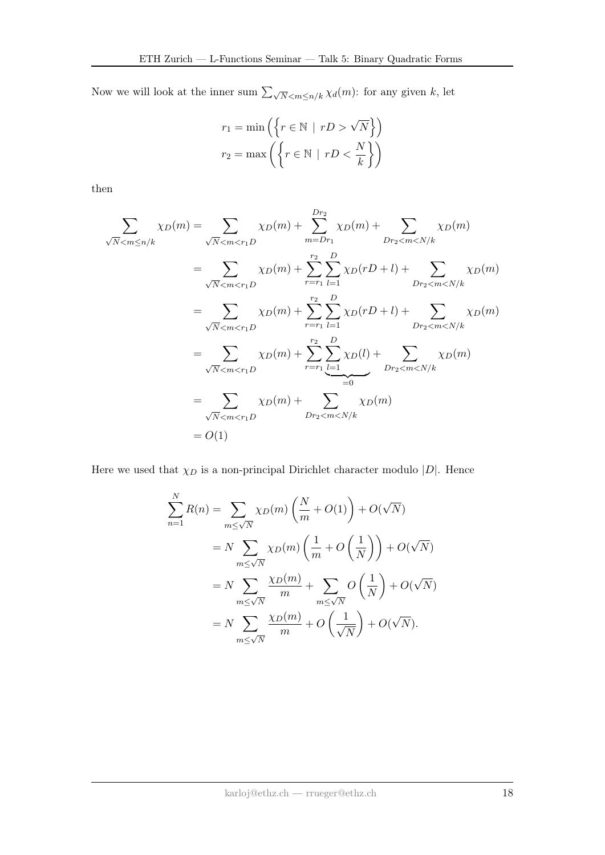Now we will look at the inner sum  $\sum_{\sqrt{N} \leq m \leq n/k} \chi_d(m)$ : for any given k, let

$$
r_1 = \min\left(\left\{r \in \mathbb{N} \mid rD > \sqrt{N}\right\}\right)
$$
\n
$$
r_2 = \max\left(\left\{r \in \mathbb{N} \mid rD < \frac{N}{k}\right\}\right)
$$

then

$$
\sum_{\sqrt{N} < m \le n/k} \chi_D(m) = \sum_{\sqrt{N} < m < r_1D} \chi_D(m) + \sum_{m = Dr_1}^{Dr_2} \chi_D(m) + \sum_{Dr_2 < m < N/k} \chi_D(m)
$$
\n
$$
= \sum_{\sqrt{N} < m < r_1D} \chi_D(m) + \sum_{r = r_1}^{r_2} \sum_{l = 1}^{D} \chi_D(rD + l) + \sum_{Dr_2 < m < N/k} \chi_D(m)
$$
\n
$$
= \sum_{\sqrt{N} < m < r_1D} \chi_D(m) + \sum_{r = r_1}^{r_2} \sum_{l = 1}^{D} \chi_D(rD + l) + \sum_{Dr_2 < m < N/k} \chi_D(m)
$$
\n
$$
= \sum_{\sqrt{N} < m < r_1D} \chi_D(m) + \sum_{r = r_1}^{r_2} \sum_{l = 1}^{D} \chi_D(l) + \sum_{Dr_2 < m < N/k} \chi_D(m)
$$
\n
$$
= \sum_{\sqrt{N} < m < r_1D} \chi_D(m) + \sum_{Dr_2 < m < N/k} \chi_D(m)
$$
\n
$$
= O(1)
$$

Here we used that  $\chi_D$  is a non-principal Dirichlet character modulo  $|D|$ . Hence

$$
\sum_{m=1}^{N} R(n) = \sum_{m \leq \sqrt{N}} \chi_D(m) \left( \frac{N}{m} + O(1) \right) + O(\sqrt{N})
$$
  
=  $N \sum_{m \leq \sqrt{N}} \chi_D(m) \left( \frac{1}{m} + O\left(\frac{1}{N}\right) \right) + O(\sqrt{N})$   
=  $N \sum_{m \leq \sqrt{N}} \frac{\chi_D(m)}{m} + \sum_{m \leq \sqrt{N}} O\left(\frac{1}{N}\right) + O(\sqrt{N})$   
=  $N \sum_{m \leq \sqrt{N}} \frac{\chi_D(m)}{m} + O\left(\frac{1}{\sqrt{N}}\right) + O(\sqrt{N}).$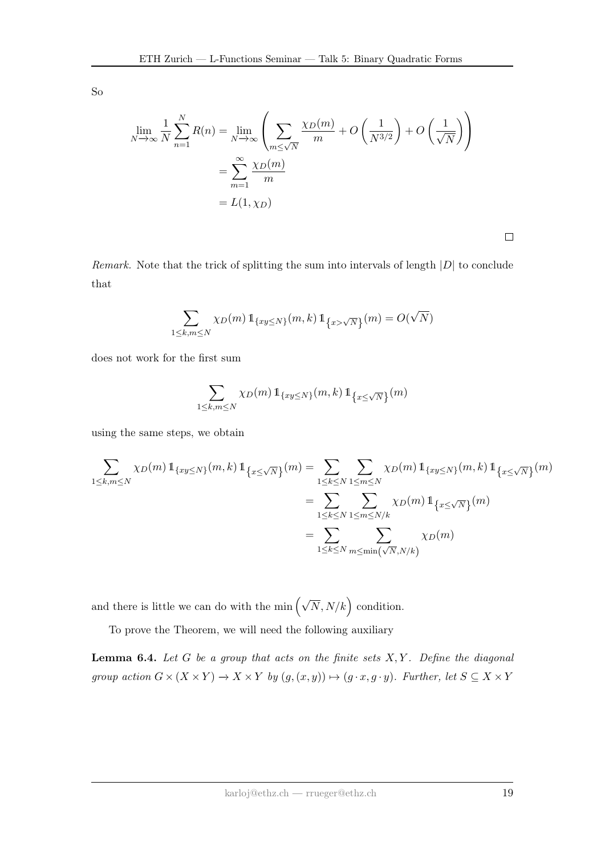So

$$
\lim_{N \to \infty} \frac{1}{N} \sum_{n=1}^{N} R(n) = \lim_{N \to \infty} \left( \sum_{m \le \sqrt{N}} \frac{\chi_D(m)}{m} + O\left(\frac{1}{N^{3/2}}\right) + O\left(\frac{1}{\sqrt{N}}\right) \right)
$$

$$
= \sum_{m=1}^{\infty} \frac{\chi_D(m)}{m}
$$

$$
= L(1, \chi_D)
$$

 $\Box$ 

Remark. Note that the trick of splitting the sum into intervals of length  $|D|$  to conclude that

$$
\sum_{1 \le k,m \le N} \chi_D(m) \, 1\!\!1_{\{xy \le N\}}(m,k) \, 1\!\!1_{\{x > \sqrt{N}\}}(m) = O(\sqrt{N})
$$

does not work for the first sum

$$
\sum_{1 \leq k,m \leq N} \chi_D(m) \, \mathbb{1}_{\{xy \leq N\}}(m,k) \, \mathbb{1}_{\{x \leq \sqrt{N}\}}(m)
$$

using the same steps, we obtain

$$
\sum_{1 \leq k,m \leq N} \chi_D(m) \, 1_{\{xy \leq N\}}(m,k) \, 1_{\{x \leq \sqrt{N}\}}(m) = \sum_{1 \leq k \leq N} \sum_{1 \leq m \leq N} \chi_D(m) \, 1_{\{xy \leq N\}}(m,k) \, 1_{\{x \leq \sqrt{N}\}}(m)
$$
\n
$$
= \sum_{1 \leq k \leq N} \sum_{1 \leq m \leq N/k} \chi_D(m) \, 1_{\{x \leq \sqrt{N}\}}(m)
$$
\n
$$
= \sum_{1 \leq k \leq N} \sum_{m \leq \min(\sqrt{N}, N/k)} \chi_D(m)
$$

and there is little we can do with the min  $(\sqrt{N}, N/k)$  condition.

To prove the Theorem, we will need the following auxiliary

**Lemma 6.4.** Let  $G$  be a group that acts on the finite sets  $X, Y$ . Define the diagonal group action  $G \times (X \times Y) \to X \times Y$  by  $(g, (x, y)) \mapsto (g \cdot x, g \cdot y)$ . Further, let  $S \subseteq X \times Y$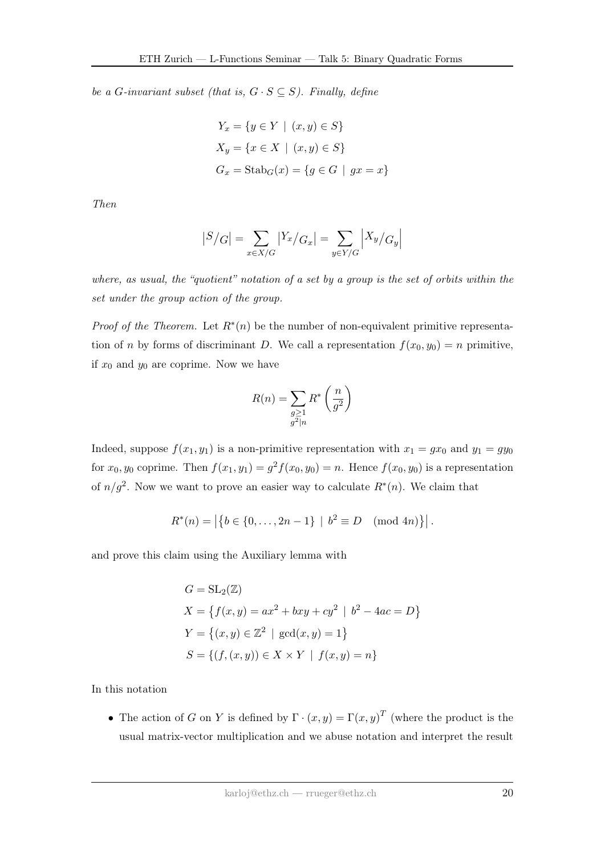be a G-invariant subset (that is,  $G \cdot S \subseteq S$ ). Finally, define

$$
Y_x = \{ y \in Y \mid (x, y) \in S \}
$$
  

$$
X_y = \{ x \in X \mid (x, y) \in S \}
$$
  

$$
G_x = \text{Stab}_G(x) = \{ g \in G \mid gx = x \}
$$

Then

$$
|S/G| = \sum_{x \in X/G} |Y_x/G_x| = \sum_{y \in Y/G} |X_y/G_y|
$$

where, as usual, the "quotient" notation of a set by a group is the set of orbits within the set under the group action of the group.

*Proof of the Theorem.* Let  $R^*(n)$  be the number of non-equivalent primitive representation of n by forms of discriminant D. We call a representation  $f(x_0, y_0) = n$  primitive, if  $x_0$  and  $y_0$  are coprime. Now we have

$$
R(n) = \sum_{\substack{g \ge 1 \\ g^2 \mid n}} R^* \left(\frac{n}{g^2}\right)
$$

Indeed, suppose  $f(x_1, y_1)$  is a non-primitive representation with  $x_1 = gx_0$  and  $y_1 = gy_0$ for  $x_0, y_0$  coprime. Then  $f(x_1, y_1) = g^2 f(x_0, y_0) = n$ . Hence  $f(x_0, y_0)$  is a representation of  $n/g^2$ . Now we want to prove an easier way to calculate  $R^*(n)$ . We claim that

$$
R^*(n) = |\{b \in \{0, \ldots, 2n-1\} \mid b^2 \equiv D \pmod{4n}\}|.
$$

and prove this claim using the Auxiliary lemma with

$$
G = SL_2(\mathbb{Z})
$$
  
\n
$$
X = \{ f(x, y) = ax^2 + bxy + cy^2 \mid b^2 - 4ac = D \}
$$
  
\n
$$
Y = \{ (x, y) \in \mathbb{Z}^2 \mid \gcd(x, y) = 1 \}
$$
  
\n
$$
S = \{ (f, (x, y)) \in X \times Y \mid f(x, y) = n \}
$$

In this notation

• The action of G on Y is defined by  $\Gamma \cdot (x, y) = \Gamma(x, y)^T$  (where the product is the usual matrix-vector multiplication and we abuse notation and interpret the result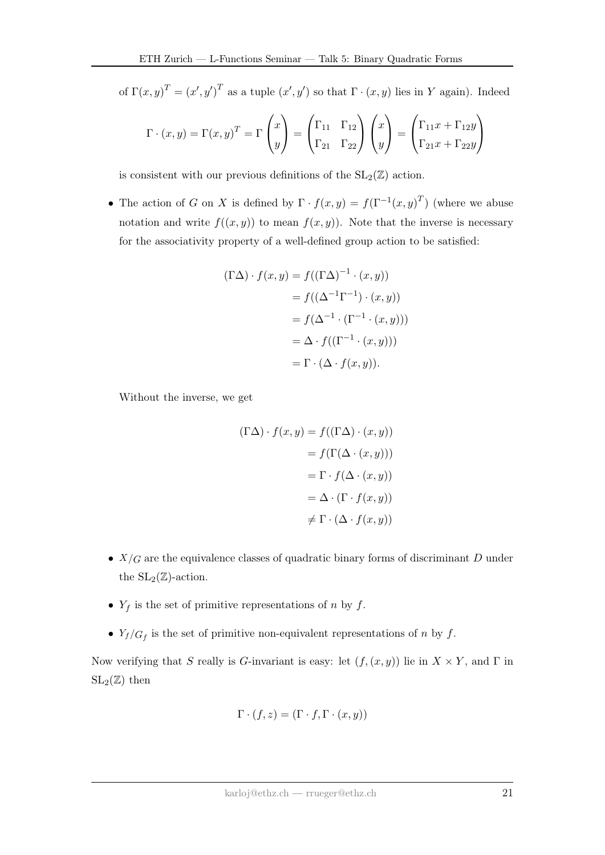of  $\Gamma(x, y)^T = (x', y')^T$  as a tuple  $(x', y')$  so that  $\Gamma \cdot (x, y)$  lies in Y again). Indeed

$$
\Gamma \cdot (x, y) = \Gamma(x, y)^{T} = \Gamma \begin{pmatrix} x \\ y \end{pmatrix} = \begin{pmatrix} \Gamma_{11} & \Gamma_{12} \\ \Gamma_{21} & \Gamma_{22} \end{pmatrix} \begin{pmatrix} x \\ y \end{pmatrix} = \begin{pmatrix} \Gamma_{11}x + \Gamma_{12}y \\ \Gamma_{21}x + \Gamma_{22}y \end{pmatrix}
$$

is consistent with our previous definitions of the  $SL_2(\mathbb{Z})$  action.

• The action of G on X is defined by  $\Gamma \cdot f(x,y) = f(\Gamma^{-1}(x,y)^T)$  (where we abuse notation and write  $f((x, y))$  to mean  $f(x, y)$ ). Note that the inverse is necessary for the associativity property of a well-defined group action to be satisfied:

$$
(\Gamma \Delta) \cdot f(x, y) = f((\Gamma \Delta)^{-1} \cdot (x, y))
$$
  
=  $f((\Delta^{-1} \Gamma^{-1}) \cdot (x, y))$   
=  $f(\Delta^{-1} \cdot (\Gamma^{-1} \cdot (x, y)))$   
=  $\Delta \cdot f((\Gamma^{-1} \cdot (x, y)))$   
=  $\Gamma \cdot (\Delta \cdot f(x, y)).$ 

Without the inverse, we get

$$
(\Gamma \Delta) \cdot f(x, y) = f((\Gamma \Delta) \cdot (x, y))
$$

$$
= f(\Gamma(\Delta \cdot (x, y)))
$$

$$
= \Gamma \cdot f(\Delta \cdot (x, y))
$$

$$
= \Delta \cdot (\Gamma \cdot f(x, y))
$$

$$
\neq \Gamma \cdot (\Delta \cdot f(x, y))
$$

- $X/G$  are the equivalence classes of quadratic binary forms of discriminant D under the  $SL_2(\mathbb{Z})$ -action.
- $Y_f$  is the set of primitive representations of n by f.
- $Y_f/G_f$  is the set of primitive non-equivalent representations of n by f.

Now verifying that S really is G-invariant is easy: let  $(f,(x,y))$  lie in  $X \times Y$ , and  $\Gamma$  in  $SL_2(\mathbb{Z})$  then

$$
\Gamma \cdot (f, z) = (\Gamma \cdot f, \Gamma \cdot (x, y))
$$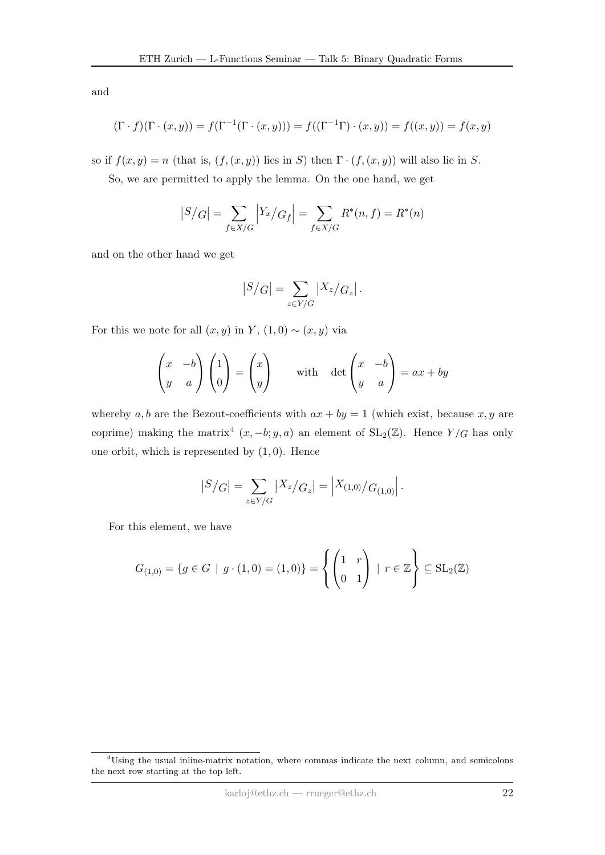and

$$
(\Gamma \cdot f)(\Gamma \cdot (x, y)) = f(\Gamma^{-1}(\Gamma \cdot (x, y))) = f((\Gamma^{-1} \Gamma) \cdot (x, y)) = f((x, y)) = f(x, y)
$$

so if  $f(x, y) = n$  (that is,  $(f, (x, y))$  lies in S) then  $\Gamma \cdot (f, (x, y))$  will also lie in S.

So, we are permitted to apply the lemma. On the one hand, we get

$$
|S/G| = \sum_{f \in X/G} |Y_x/G_f| = \sum_{f \in X/G} R^*(n, f) = R^*(n)
$$

and on the other hand we get

$$
|S/G| = \sum_{z \in Y/G} |X_z/G_z|.
$$

For this we note for all  $(x, y)$  in Y,  $(1, 0) \sim (x, y)$  via

$$
\begin{pmatrix} x & -b \\ y & a \end{pmatrix} \begin{pmatrix} 1 \\ 0 \end{pmatrix} = \begin{pmatrix} x \\ y \end{pmatrix} \quad \text{with} \quad \det \begin{pmatrix} x & -b \\ y & a \end{pmatrix} = ax + by
$$

whereby a, b are the Bezout-coefficients with  $ax + by = 1$  (which exist, because x, y are coprime) making the matrix<sup>[4](#page-0-0)</sup>  $(x, -b; y, a)$  an element of  $SL_2(\mathbb{Z})$ . Hence  $Y/G$  has only one orbit, which is represented by  $(1,0)$ . Hence

$$
|S/G| = \sum_{z \in Y/G} |X_z/G_z| = |X_{(1,0)}/G_{(1,0)}|.
$$

For this element, we have

$$
G_{(1,0)} = \{ g \in G \mid g \cdot (1,0) = (1,0) \} = \left\{ \begin{pmatrix} 1 & r \\ 0 & 1 \end{pmatrix} \mid r \in \mathbb{Z} \right\} \subseteq SL_2(\mathbb{Z})
$$

<sup>4</sup>Using the usual inline-matrix notation, where commas indicate the next column, and semicolons the next row starting at the top left.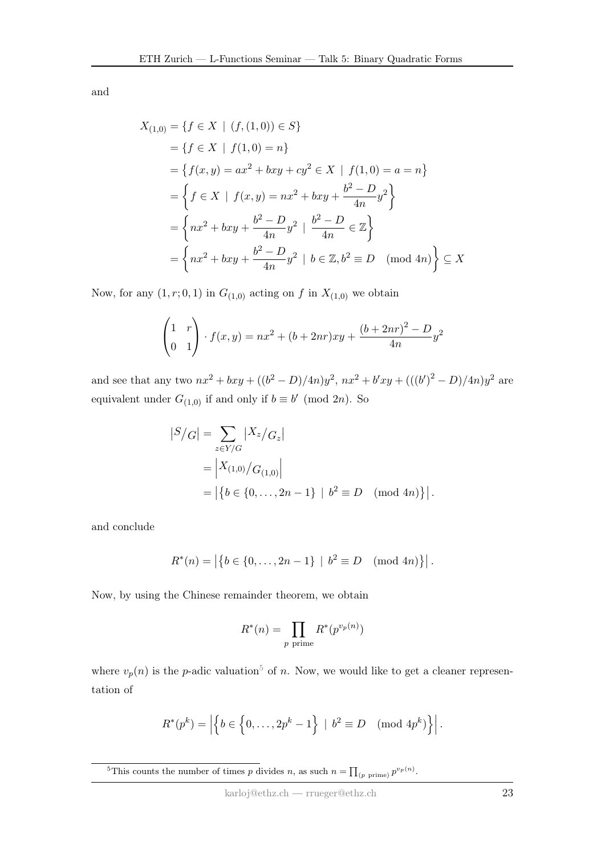and

$$
X_{(1,0)} = \{f \in X \mid (f,(1,0)) \in S\}
$$
  
=  $\{f \in X \mid f(1,0) = n\}$   
=  $\{f(x,y) = ax^2 + bxy + cy^2 \in X \mid f(1,0) = a = n\}$   
=  $\{f \in X \mid f(x,y) = nx^2 + bxy + \frac{b^2 - D}{4n}y^2\}$   
=  $\{nx^2 + bxy + \frac{b^2 - D}{4n}y^2 \mid \frac{b^2 - D}{4n} \in \mathbb{Z}\}$   
=  $\{nx^2 + bxy + \frac{b^2 - D}{4n}y^2 \mid b \in \mathbb{Z}, b^2 \equiv D \pmod{4n}\} \subseteq X$ 

Now, for any  $(1, r; 0, 1)$  in  $G_{(1,0)}$  acting on f in  $X_{(1,0)}$  we obtain

$$
\begin{pmatrix} 1 & r \ 0 & 1 \end{pmatrix} \cdot f(x, y) = nx^2 + (b + 2nr)xy + \frac{(b + 2nr)^2 - D}{4n}y^2
$$

and see that any two  $nx^2 + bxy + ((b^2 - D)/4n)y^2$ ,  $nx^2 + b'xy + (((b')^2 - D)/4n)y^2$  are equivalent under  $G_{(1,0)}$  if and only if  $b \equiv b' \pmod{2n}$ . So

$$
|S/G| = \sum_{z \in Y/G} |X_z/G_z|
$$
  
=  $|X_{(1,0)}/G_{(1,0)}|$   
=  $|\{b \in \{0, ..., 2n-1\} | b^2 \equiv D \pmod{4n}\}|.$ 

and conclude

$$
R^*(n) = |\{b \in \{0, \ldots, 2n-1\} \mid b^2 \equiv D \pmod{4n}\}|.
$$

Now, by using the Chinese remainder theorem, we obtain

$$
R^*(n) = \prod_{p \text{ prime}} R^*(p^{v_p(n)})
$$

where  $v_p(n)$  is the p-adic valuation<sup>[5](#page-0-0)</sup> of n. Now, we would like to get a cleaner representation of

$$
R^*(p^k) = \left| \left\{ b \in \left\{0, \ldots, 2p^k - 1\right\} \; \middle| \; b^2 \equiv D \pmod{4p^k} \right\} \right|.
$$

<sup>&</sup>lt;sup>5</sup>This counts the number of times p divides n, as such  $n = \prod_{(p \text{ prime})} p^{v_p(n)}$ .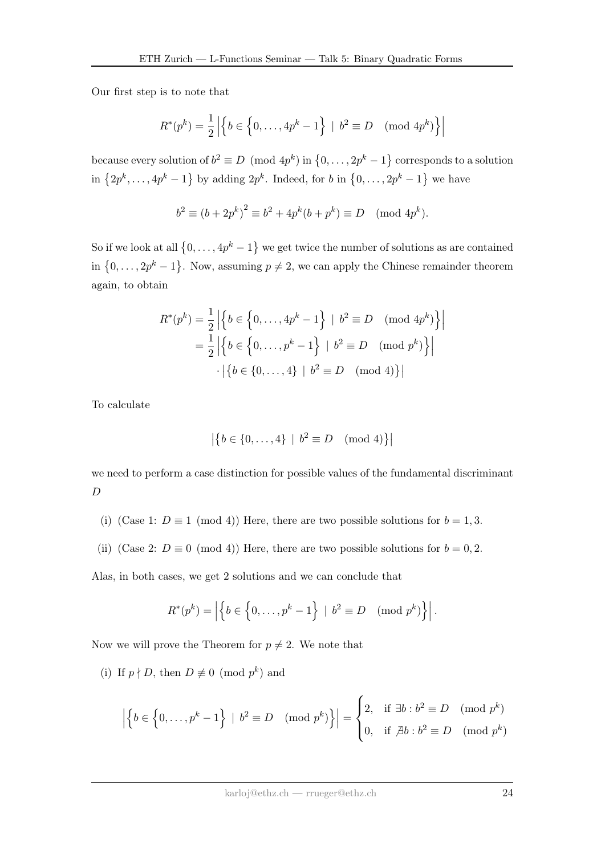Our first step is to note that

$$
R^*(p^k) = \frac{1}{2} \left| \left\{ b \in \left\{ 0, \dots, 4p^k - 1 \right\} \; | \; b^2 \equiv D \pmod{4p^k} \right\} \right|
$$

because every solution of  $b^2 \equiv D \pmod{4p^k}$  in  $\{0, \ldots, 2p^k-1\}$  corresponds to a solution in  $\{2p^k, \ldots, 4p^k-1\}$  by adding  $2p^k$ . Indeed, for b in  $\{0, \ldots, 2p^k-1\}$  we have

$$
b^2 \equiv (b + 2p^k)^2 \equiv b^2 + 4p^k(b + p^k) \equiv D \pmod{4p^k}
$$
.

So if we look at all  $\{0, \ldots, 4p^k-1\}$  we get twice the number of solutions as are contained in  $\{0,\ldots,2p^k-1\}$ . Now, assuming  $p\neq 2$ , we can apply the Chinese remainder theorem again, to obtain

$$
R^*(p^k) = \frac{1}{2} \left| \left\{ b \in \left\{ 0, \dots, 4p^k - 1 \right\} \mid b^2 \equiv D \pmod{4p^k} \right\} \right|
$$
  
=  $\frac{1}{2} \left| \left\{ b \in \left\{ 0, \dots, p^k - 1 \right\} \mid b^2 \equiv D \pmod{p^k} \right\} \right|$   
 $\cdot \left| \left\{ b \in \{0, \dots, 4\} \mid b^2 \equiv D \pmod{4} \right\} \right|$ 

To calculate

$$
|\{b \in \{0, \dots, 4\} \mid b^2 \equiv D \pmod{4}\}|
$$

we need to perform a case distinction for possible values of the fundamental discriminant D

- (i) (Case 1:  $D \equiv 1 \pmod{4}$ ) Here, there are two possible solutions for  $b = 1, 3$ .
- (ii) (Case 2:  $D \equiv 0 \pmod{4}$ ) Here, there are two possible solutions for  $b = 0, 2$ .

Alas, in both cases, we get 2 solutions and we can conclude that

$$
R^*(p^k) = \left| \left\{ b \in \left\{0, \ldots, p^k - 1\right\} \mid b^2 \equiv D \pmod{p^k} \right\} \right|.
$$

Now we will prove the Theorem for  $p \neq 2$ . We note that

(i) If  $p \nmid D$ , then  $D \not\equiv 0 \pmod{p^k}$  and

$$
\left| \left\{ b \in \left\{0, \ldots, p^k - 1\right\} \: \middle| \: b^2 \equiv D \pmod{p^k} \right\} \right| = \begin{cases} 2, & \text{if } \exists b : b^2 \equiv D \pmod{p^k} \\ 0, & \text{if } \not\exists b : b^2 \equiv D \pmod{p^k} \end{cases}
$$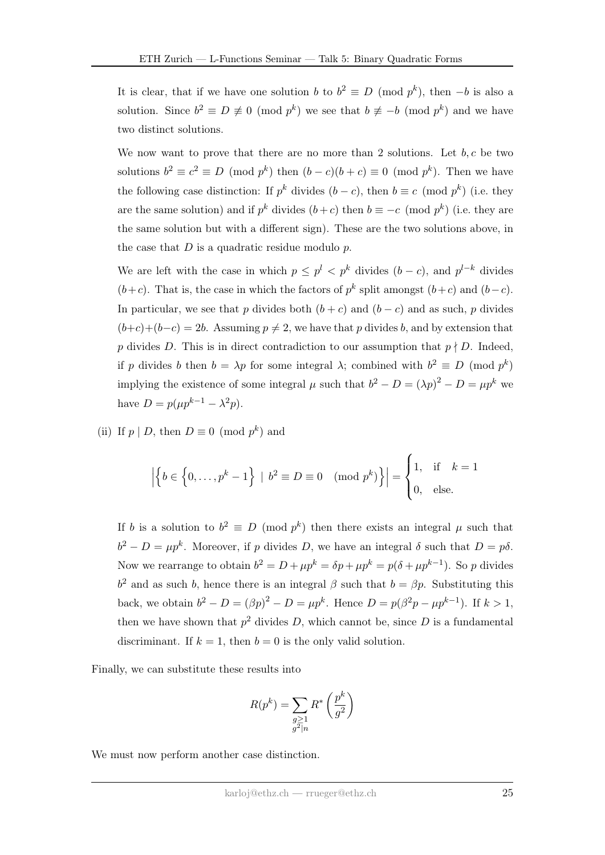It is clear, that if we have one solution b to  $b^2 \equiv D \pmod{p^k}$ , then  $-b$  is also a solution. Since  $b^2 \equiv D \not\equiv 0 \pmod{p^k}$  we see that  $b \not\equiv -b \pmod{p^k}$  and we have two distinct solutions.

We now want to prove that there are no more than 2 solutions. Let  $b, c$  be two solutions  $b^2 \equiv c^2 \equiv D \pmod{p^k}$  then  $(b - c)(b + c) \equiv 0 \pmod{p^k}$ . Then we have the following case distinction: If  $p^k$  divides  $(b-c)$ , then  $b \equiv c \pmod{p^k}$  (i.e. they are the same solution) and if  $p^k$  divides  $(b+c)$  then  $b \equiv -c \pmod{p^k}$  (i.e. they are the same solution but with a different sign). These are the two solutions above, in the case that  $D$  is a quadratic residue modulo  $p$ .

We are left with the case in which  $p \leq p^l < p^k$  divides  $(b - c)$ , and  $p^{l-k}$  divides  $(b+c)$ . That is, the case in which the factors of  $p^k$  split amongst  $(b+c)$  and  $(b-c)$ . In particular, we see that p divides both  $(b + c)$  and  $(b - c)$  and as such, p divides  $(b+c)+(b-c) = 2b$ . Assuming  $p \neq 2$ , we have that p divides b, and by extension that p divides D. This is in direct contradiction to our assumption that  $p \nmid D$ . Indeed, if p divides b then  $b = \lambda p$  for some integral  $\lambda$ ; combined with  $b^2 \equiv D \pmod{p^k}$ implying the existence of some integral  $\mu$  such that  $b^2 - D = (\lambda p)^2 - D = \mu p^k$  we have  $D = p(\mu p^{k-1} - \lambda^2 p)$ .

(ii) If  $p \mid D$ , then  $D \equiv 0 \pmod{p^k}$  and

$$
\left| \left\{ b \in \left\{0, \ldots, p^k - 1\right\} \: \middle| \: b^2 \equiv D \equiv 0 \pmod{p^k} \right\} \right| = \begin{cases} 1, & \text{if } k = 1 \\ 0, & \text{else.} \end{cases}
$$

If b is a solution to  $b^2 \equiv D \pmod{p^k}$  then there exists an integral  $\mu$  such that  $b^2 - D = \mu p^k$ . Moreover, if p divides D, we have an integral  $\delta$  such that  $D = p\delta$ . Now we rearrange to obtain  $b^2 = D + \mu p^k = \delta p + \mu p^k = p(\delta + \mu p^{k-1})$ . So p divides  $b<sup>2</sup>$  and as such b, hence there is an integral  $\beta$  such that  $b = \beta p$ . Substituting this back, we obtain  $b^2 - D = (\beta p)^2 - D = \mu p^k$ . Hence  $D = p(\beta^2 p - \mu p^{k-1})$ . If  $k > 1$ , then we have shown that  $p^2$  divides D, which cannot be, since D is a fundamental discriminant. If  $k = 1$ , then  $b = 0$  is the only valid solution.

Finally, we can substitute these results into

$$
R(p^k) = \sum_{\substack{g \ge 1 \\ g^2 \mid n}} R^* \left(\frac{p^k}{g^2}\right)
$$

We must now perform another case distinction.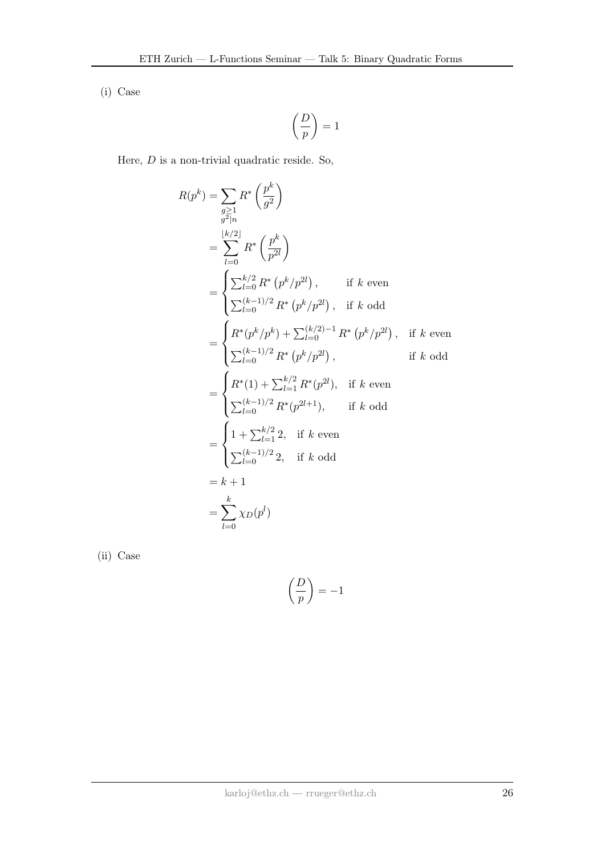(i) Case

$$
\left(\frac{D}{p}\right)=1
$$

Here,  $D$  is a non-trivial quadratic reside. So,

$$
R(p^{k}) = \sum_{\substack{g \geq 1 \\ g^{2}|n}} R^{*} \left(\frac{p^{k}}{g^{2}}\right)
$$
  
\n
$$
= \sum_{l=0}^{\lfloor k/2 \rfloor} R^{*} \left(\frac{p^{k}}{p^{2l}}\right)
$$
  
\n
$$
= \begin{cases} \sum_{l=0}^{k/2} R^{*} (p^{k}/p^{2l}), & \text{if } k \text{ even} \\ \sum_{l=0}^{(k-1)/2} R^{*} (p^{k}/p^{2l}), & \text{if } k \text{ odd} \end{cases}
$$
  
\n
$$
= \begin{cases} R^{*}(p^{k}/p^{k}) + \sum_{l=0}^{(k/2)-1} R^{*} (p^{k}/p^{2l}), & \text{if } k \text{ even} \\ \sum_{l=0}^{(k-1)/2} R^{*} (p^{k}/p^{2l}), & \text{if } k \text{ odd} \end{cases}
$$
  
\n
$$
= \begin{cases} R^{*}(1) + \sum_{l=1}^{k/2} R^{*}(p^{2l}), & \text{if } k \text{ even} \\ \sum_{l=0}^{(k-1)/2} R^{*}(p^{2l+1}), & \text{if } k \text{ odd} \end{cases}
$$
  
\n
$$
= \begin{cases} 1 + \sum_{l=1}^{k/2} 2, & \text{if } k \text{ even} \\ \sum_{l=0}^{(k-1)/2} 2, & \text{if } k \text{ odd} \end{cases}
$$
  
\n
$$
= k + 1
$$
  
\n
$$
= \sum_{l=0}^{k} \chi_{D}(p^{l})
$$

(ii) Case

$$
\left(\frac{D}{p}\right) = -1
$$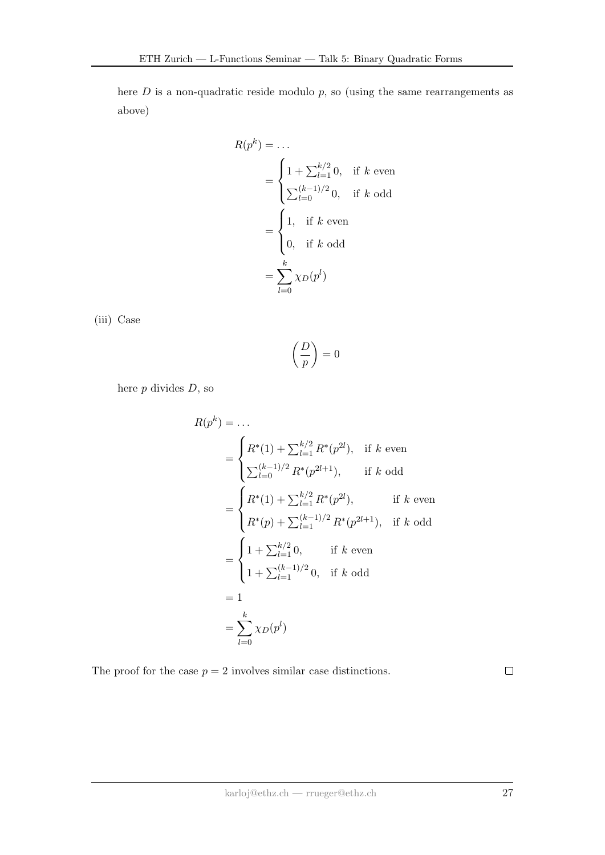here  $D$  is a non-quadratic reside modulo  $p$ , so (using the same rearrangements as above)

$$
R(p^k) = \dots
$$
  
= 
$$
\begin{cases} 1 + \sum_{l=1}^{k/2} 0, & \text{if } k \text{ even} \\ \sum_{l=0}^{(k-1)/2} 0, & \text{if } k \text{ odd} \end{cases}
$$
  
= 
$$
\begin{cases} 1, & \text{if } k \text{ even} \\ 0, & \text{if } k \text{ odd} \end{cases}
$$
  
= 
$$
\sum_{l=0}^{k} \chi_D(p^l)
$$

(iii) Case

 $\bigcap$ p  $\Big) = 0$ 

here  $p$  divides  $D$ , so

$$
R(p^{k}) = \dots
$$
  
= 
$$
\begin{cases} R^{*}(1) + \sum_{l=1}^{k/2} R^{*}(p^{2l}), & \text{if } k \text{ even} \\ \sum_{l=0}^{(k-1)/2} R^{*}(p^{2l+1}), & \text{if } k \text{ odd} \end{cases}
$$
  
= 
$$
\begin{cases} R^{*}(1) + \sum_{l=1}^{k/2} R^{*}(p^{2l}), & \text{if } k \text{ even} \\ R^{*}(p) + \sum_{l=1}^{(k-1)/2} R^{*}(p^{2l+1}), & \text{if } k \text{ odd} \end{cases}
$$
  
= 
$$
\begin{cases} 1 + \sum_{l=1}^{k/2} 0, & \text{if } k \text{ even} \\ 1 + \sum_{l=1}^{(k-1)/2} 0, & \text{if } k \text{ odd} \end{cases}
$$
  
= 1  
= 
$$
\sum_{l=0}^{k} \chi_{D}(p^{l})
$$

The proof for the case  $p = 2$  involves similar case distinctions.

 $\Box$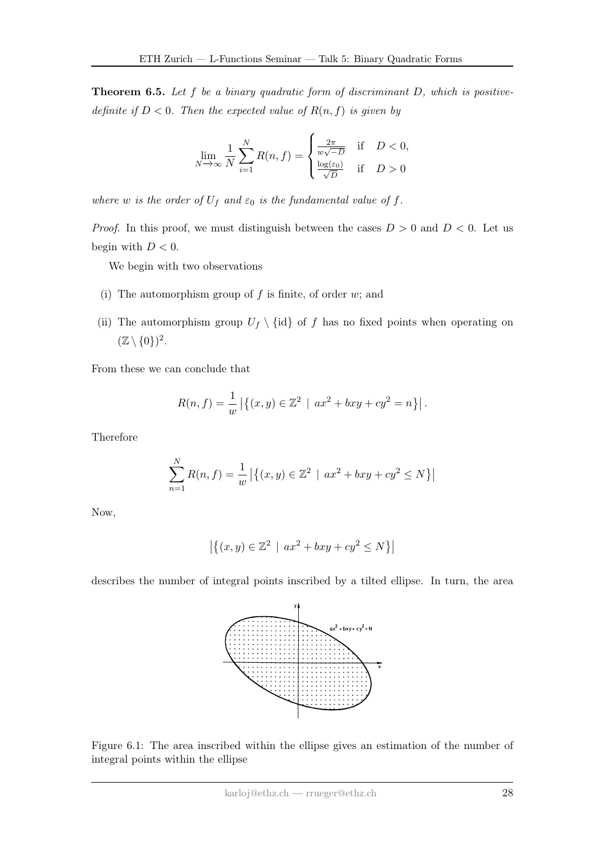**Theorem 6.5.** Let  $f$  be a binary quadratic form of discriminant  $D$ , which is positivedefinite if  $D < 0$ . Then the expected value of  $R(n, f)$  is given by

$$
\lim_{N \to \infty} \frac{1}{N} \sum_{i=1}^{N} R(n, f) = \begin{cases} \frac{2\pi}{w\sqrt{-D}} & \text{if } D < 0, \\ \frac{\log(\varepsilon_0)}{\sqrt{D}} & \text{if } D > 0 \end{cases}
$$

where w is the order of  $U_f$  and  $\varepsilon_0$  is the fundamental value of f.

*Proof.* In this proof, we must distinguish between the cases  $D > 0$  and  $D < 0$ . Let us begin with  $D < 0$ .

We begin with two observations

- (i) The automorphism group of  $f$  is finite, of order  $w$ ; and
- (ii) The automorphism group  $U_f \setminus \{id\}$  of f has no fixed points when operating on  $(\mathbb{Z} \setminus \{0\})^2$ .

From these we can conclude that

$$
R(n, f) = \frac{1}{w} | \{ (x, y) \in \mathbb{Z}^2 \mid ax^2 + bxy + cy^2 = n \} |.
$$

Therefore

$$
\sum_{n=1}^{N} R(n, f) = \frac{1}{w} | \{ (x, y) \in \mathbb{Z}^2 \mid ax^2 + bxy + cy^2 \le N \} |
$$

Now,

$$
|\{(x,y) \in \mathbb{Z}^2 \mid ax^2 + bxy + cy^2 \le N\}|
$$

describes the number of integral points inscribed by a tilted ellipse. In turn, the area



Figure 6.1: The area inscribed within the ellipse gives an estimation of the number of integral points within the ellipse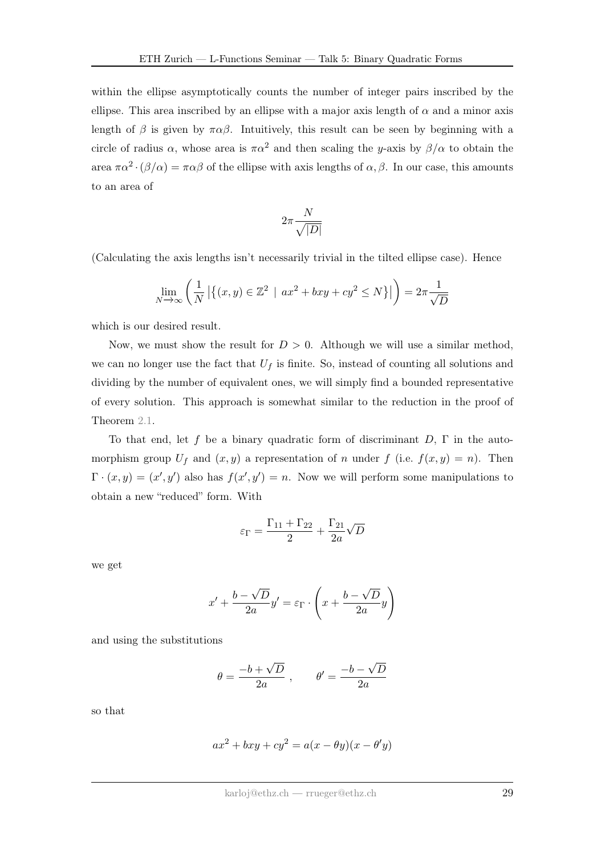within the ellipse asymptotically counts the number of integer pairs inscribed by the ellipse. This area inscribed by an ellipse with a major axis length of  $\alpha$  and a minor axis length of  $\beta$  is given by  $\pi \alpha \beta$ . Intuitively, this result can be seen by beginning with a circle of radius  $\alpha$ , whose area is  $\pi \alpha^2$  and then scaling the y-axis by  $\beta/\alpha$  to obtain the area  $\pi \alpha^2 \cdot (\beta/\alpha) = \pi \alpha \beta$  of the ellipse with axis lengths of  $\alpha, \beta$ . In our case, this amounts to an area of

$$
2\pi \frac{N}{\sqrt{|D|}}
$$

(Calculating the axis lengths isn't necessarily trivial in the tilted ellipse case). Hence

$$
\lim_{N \to \infty} \left( \frac{1}{N} \left| \left\{ (x, y) \in \mathbb{Z}^2 \: \mid \: ax^2 + bxy + cy^2 \le N \right\} \right| \right) = 2\pi \frac{1}{\sqrt{D}}
$$

which is our desired result.

Now, we must show the result for  $D > 0$ . Although we will use a similar method, we can no longer use the fact that  $U_f$  is finite. So, instead of counting all solutions and dividing by the number of equivalent ones, we will simply find a bounded representative of every solution. This approach is somewhat similar to the reduction in the proof of Theorem [2.1.](#page-2-1)

To that end, let f be a binary quadratic form of discriminant  $D$ ,  $\Gamma$  in the automorphism group  $U_f$  and  $(x, y)$  a representation of n under f (i.e.  $f(x, y) = n$ ). Then  $\Gamma \cdot (x, y) = (x', y')$  also has  $f(x', y') = n$ . Now we will perform some manipulations to obtain a new "reduced" form. With

$$
\varepsilon_{\Gamma} = \frac{\Gamma_{11} + \Gamma_{22}}{2} + \frac{\Gamma_{21}}{2a}\sqrt{D}
$$

we get

$$
x' + \frac{b - \sqrt{D}}{2a}y' = \varepsilon_{\Gamma} \cdot \left(x + \frac{b - \sqrt{D}}{2a}y\right)
$$

and using the substitutions

$$
\theta = \frac{-b + \sqrt{D}}{2a} , \qquad \theta' = \frac{-b - \sqrt{D}}{2a}
$$

so that

$$
ax^{2} + bxy + cy^{2} = a(x - \theta y)(x - \theta' y)
$$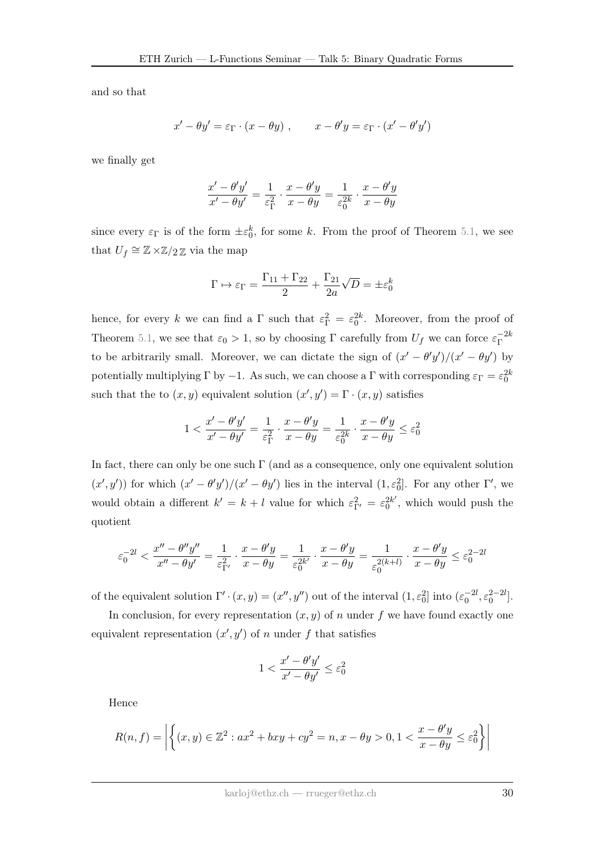and so that

$$
x' - \theta y' = \varepsilon_{\Gamma} \cdot (x - \theta y) , \qquad x - \theta' y = \varepsilon_{\Gamma} \cdot (x' - \theta' y')
$$

we finally get

$$
\frac{x' - \theta'y'}{x' - \theta y'} = \frac{1}{\varepsilon_{\Gamma}^2} \cdot \frac{x - \theta'y}{x - \theta y} = \frac{1}{\varepsilon_0^{2k}} \cdot \frac{x - \theta'y}{x - \theta y}
$$

since every  $\varepsilon_{\Gamma}$  is of the form  $\pm \varepsilon_0^k$ , for some k. From the proof of Theorem [5.1,](#page-12-4) we see that  $U_f \cong \mathbb{Z} \times \mathbb{Z}/2\mathbb{Z}$  via the map

$$
\Gamma \mapsto \varepsilon_{\Gamma} = \frac{\Gamma_{11} + \Gamma_{22}}{2} + \frac{\Gamma_{21}}{2a}\sqrt{D} = \pm \varepsilon_0^k
$$

hence, for every k we can find a  $\Gamma$  such that  $\varepsilon_{\Gamma}^2 = \varepsilon_0^{2k}$ . Moreover, from the proof of Theorem [5.1,](#page-12-4) we see that  $\varepsilon_0 > 1$ , so by choosing  $\Gamma$  carefully from  $U_f$  we can force  $\varepsilon_{\Gamma}^{-2k}$ Γ to be arbitrarily small. Moreover, we can dictate the sign of  $(x' - \theta' y')/(x' - \theta y')$  by potentially multiplying  $\Gamma$  by  $-1$ . As such, we can choose a  $\Gamma$  with corresponding  $\varepsilon_{\Gamma} = \varepsilon_0^{2k}$ such that the to  $(x, y)$  equivalent solution  $(x', y') = \Gamma \cdot (x, y)$  satisfies

$$
1 < \frac{x'-\theta'y'}{x'-\theta y'} = \frac{1}{\varepsilon_{\Gamma}^2} \cdot \frac{x-\theta'y}{x-\theta y} = \frac{1}{\varepsilon_0^{2k}} \cdot \frac{x-\theta'y}{x-\theta y} \le \varepsilon_0^2
$$

In fact, there can only be one such  $\Gamma$  (and as a consequence, only one equivalent solution  $(x', y')$  for which  $(x' - \theta' y')/(x' - \theta y')$  lies in the interval  $(1, \varepsilon_0^2]$ . For any other  $\Gamma'$ , we would obtain a different  $k' = k + l$  value for which  $\varepsilon_{\Gamma'}^2 = \varepsilon_0^{2k'}$  $0^{2k'}$ , which would push the quotient

$$
\varepsilon_0^{-2l}<\frac{x''-\theta''y''}{x''-\theta y'}=\frac{1}{\varepsilon_{\Gamma'}^2}\cdot\frac{x-\theta' y}{x-\theta y}=\frac{1}{\varepsilon_0^{2k'}}\cdot\frac{x-\theta' y}{x-\theta y}=\frac{1}{\varepsilon_0^{2(k+l)}}\cdot\frac{x-\theta' y}{x-\theta y}\leq \varepsilon_0^{2-2l}
$$

of the equivalent solution  $\Gamma' \cdot (x, y) = (x'', y'')$  out of the interval  $(1, \varepsilon_0^2]$  into  $(\varepsilon_0^{-2l}, \varepsilon_0^{2-l}]$ .

In conclusion, for every representation  $(x, y)$  of n under f we have found exactly one equivalent representation  $(x', y')$  of n under f that satisfies

$$
1 < \frac{x' - \theta'y'}{x' - \theta y'} \le \varepsilon_0^2
$$

Hence

$$
R(n, f) = \left| \left\{ (x, y) \in \mathbb{Z}^2 : ax^2 + bxy + cy^2 = n, x - \theta y > 0, 1 < \frac{x - \theta' y}{x - \theta y} \le \varepsilon_0^2 \right\} \right|
$$